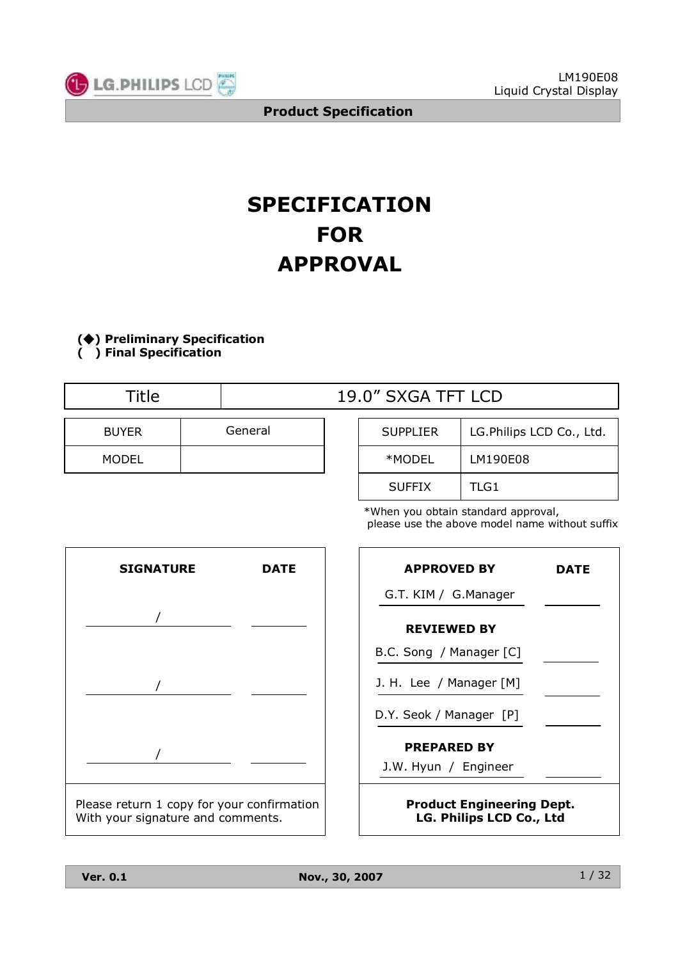

# **SPECIFICATION FOR APPROVAL**

**(**◆**) Preliminary Specification ( ) Final Specification**

| <b>Fitle</b> |         | 19.0" SXGA TFT LCD |                          |
|--------------|---------|--------------------|--------------------------|
| <b>BUYER</b> | General | <b>SUPPLIER</b>    | LG.Philips LCD Co., Ltd. |
| <b>MODEL</b> |         | *MODEL             | LM190E08                 |

| *When you obtain standard approval,            |
|------------------------------------------------|
| please use the above model name without suffix |

SUFFIX | TLG1



| <b>APPROVED BY</b>                                           | DATE |
|--------------------------------------------------------------|------|
| G.T. KIM / G.Manager                                         |      |
| <b>REVIEWED BY</b>                                           |      |
| B.C. Song / Manager [C]                                      |      |
| J. H. Lee / Manager [M]                                      |      |
| D.Y. Seok / Manager [P]                                      |      |
| <b>PREPARED BY</b>                                           |      |
| J.W. Hyun / Engineer                                         |      |
| <b>Product Engineering Dept.</b><br>LG. Philips LCD Co., Ltd |      |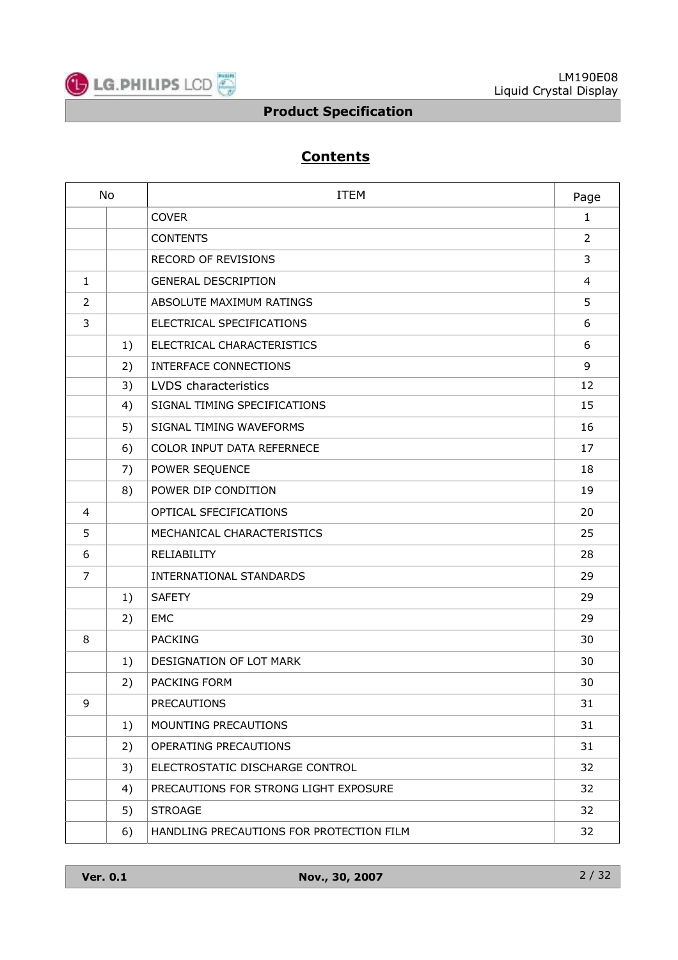

## **Contents**

| <b>No</b>      |    | <b>ITEM</b>                              |    |  |  |
|----------------|----|------------------------------------------|----|--|--|
|                |    | <b>COVER</b>                             |    |  |  |
|                |    | <b>CONTENTS</b>                          | 2  |  |  |
|                |    | <b>RECORD OF REVISIONS</b>               | 3  |  |  |
| $\mathbf{1}$   |    | <b>GENERAL DESCRIPTION</b>               | 4  |  |  |
| $\overline{2}$ |    | ABSOLUTE MAXIMUM RATINGS                 | 5  |  |  |
| 3              |    | ELECTRICAL SPECIFICATIONS                | 6  |  |  |
|                | 1) | ELECTRICAL CHARACTERISTICS               | 6  |  |  |
|                | 2) | <b>INTERFACE CONNECTIONS</b>             | 9  |  |  |
|                | 3) | LVDS characteristics                     | 12 |  |  |
|                | 4) | SIGNAL TIMING SPECIFICATIONS             | 15 |  |  |
|                | 5) | SIGNAL TIMING WAVEFORMS                  | 16 |  |  |
|                | 6) | COLOR INPUT DATA REFERNECE               | 17 |  |  |
|                | 7) | POWER SEQUENCE                           | 18 |  |  |
|                | 8) | POWER DIP CONDITION                      | 19 |  |  |
| 4              |    | OPTICAL SFECIFICATIONS                   | 20 |  |  |
| 5              |    | MECHANICAL CHARACTERISTICS               | 25 |  |  |
| 6              |    | RELIABILITY                              | 28 |  |  |
| $\overline{7}$ |    | INTERNATIONAL STANDARDS                  | 29 |  |  |
|                | 1) | <b>SAFETY</b>                            | 29 |  |  |
|                | 2) | <b>EMC</b>                               | 29 |  |  |
| 8              |    | <b>PACKING</b>                           | 30 |  |  |
|                | 1) | DESIGNATION OF LOT MARK                  | 30 |  |  |
|                | 2) | <b>PACKING FORM</b>                      | 30 |  |  |
| 9              |    | <b>PRECAUTIONS</b>                       | 31 |  |  |
|                | 1) | MOUNTING PRECAUTIONS                     | 31 |  |  |
|                | 2) | OPERATING PRECAUTIONS                    | 31 |  |  |
|                | 3) | ELECTROSTATIC DISCHARGE CONTROL          | 32 |  |  |
|                | 4) | PRECAUTIONS FOR STRONG LIGHT EXPOSURE    | 32 |  |  |
|                | 5) | <b>STROAGE</b>                           | 32 |  |  |
|                | 6) | HANDLING PRECAUTIONS FOR PROTECTION FILM | 32 |  |  |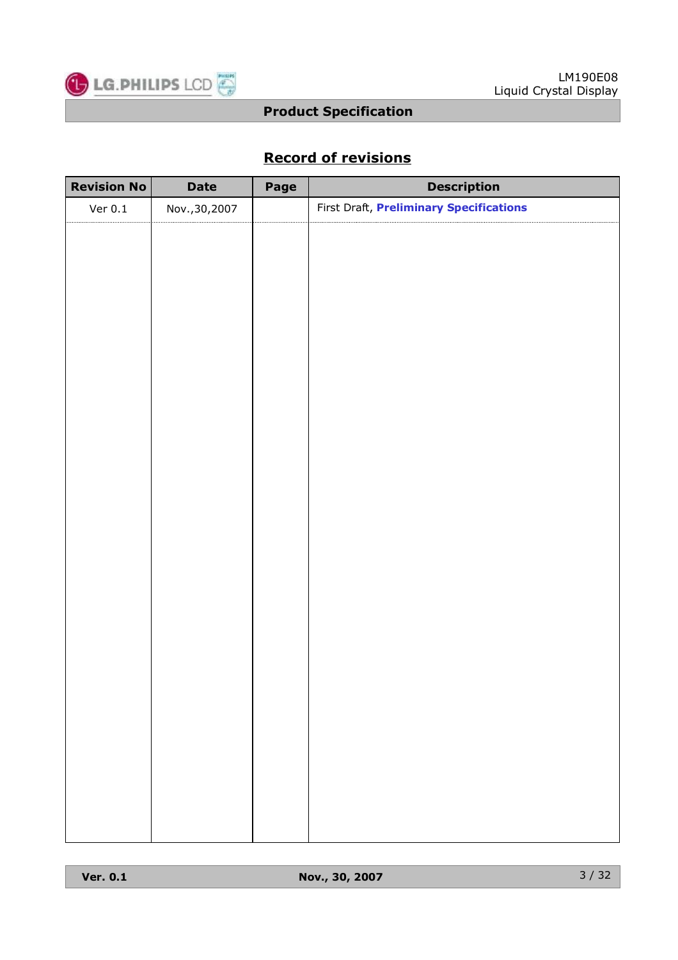

## **Record of revisions**

| <b>Revision No</b> | <b>Date</b>    | Page | <b>Description</b>                      |
|--------------------|----------------|------|-----------------------------------------|
| Ver $0.1$          | Nov., 30, 2007 |      | First Draft, Preliminary Specifications |
|                    |                |      |                                         |
|                    |                |      |                                         |
|                    |                |      |                                         |
|                    |                |      |                                         |
|                    |                |      |                                         |
|                    |                |      |                                         |
|                    |                |      |                                         |
|                    |                |      |                                         |
|                    |                |      |                                         |
|                    |                |      |                                         |
|                    |                |      |                                         |
|                    |                |      |                                         |
|                    |                |      |                                         |
|                    |                |      |                                         |
|                    |                |      |                                         |
|                    |                |      |                                         |
|                    |                |      |                                         |
|                    |                |      |                                         |
|                    |                |      |                                         |
|                    |                |      |                                         |
|                    |                |      |                                         |
|                    |                |      |                                         |
|                    |                |      |                                         |
|                    |                |      |                                         |
|                    |                |      |                                         |
|                    |                |      |                                         |
|                    |                |      |                                         |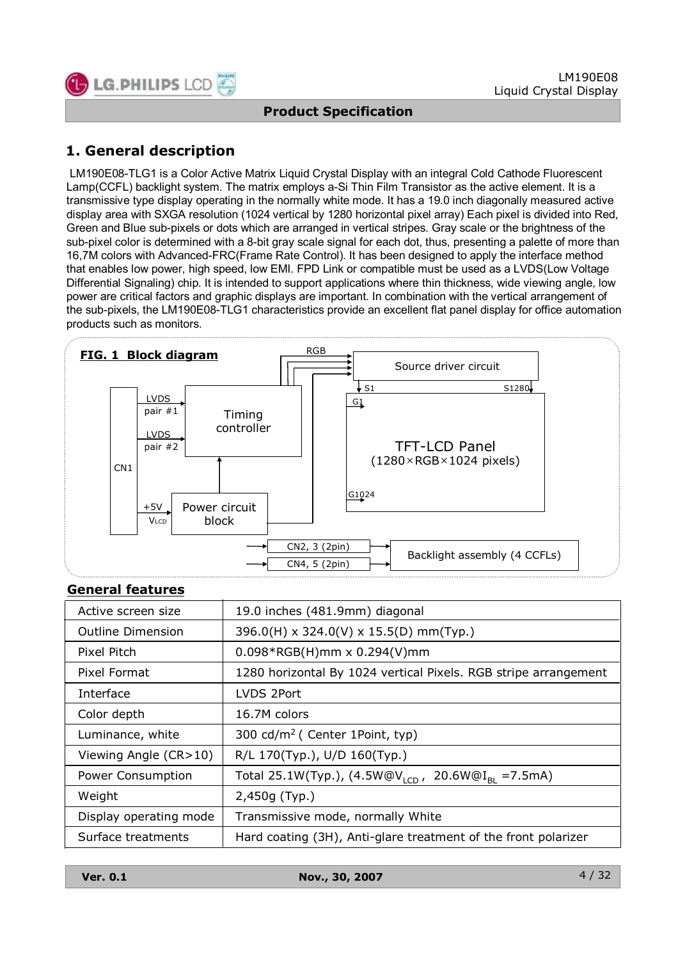

## **1. General description**

LM190E08-TLG1 is a Color Active Matrix Liquid Crystal Display with an integral Cold Cathode Fluorescent Lamp(CCFL) backlight system. The matrix employs a-Si Thin Film Transistor as the active element. It is a transmissive type display operating in the normally white mode. It has a 19.0 inch diagonally measured active display area with SXGA resolution (1024 vertical by 1280 horizontal pixel array) Each pixel is divided into Red, Green and Blue sub-pixels or dots which are arranged in vertical stripes. Gray scale or the brightness of the sub-pixel color is determined with a 8-bit gray scale signal for each dot, thus, presenting a palette of more than 16,7M colors with Advanced-FRC(Frame Rate Control). It has been designed to apply the interface method that enables low power, high speed, low EMI. FPD Link or compatible must be used as a LVDS(Low Voltage Differential Signaling) chip. It is intended to support applications where thin thickness, wide viewing angle, low power are critical factors and graphic displays are important. In combination with the vertical arrangement of the sub-pixels, the LM190E08-TLG1 characteristics provide an excellent flat panel display for office automation products such as monitors.



#### **General features**

| Active screen size       | 19.0 inches (481.9mm) diagonal                                    |
|--------------------------|-------------------------------------------------------------------|
| <b>Outline Dimension</b> | 396.0(H) x 324.0(V) x 15.5(D) mm(Typ.)                            |
| Pixel Pitch              | $0.098*RGB(H)$ mm x 0.294(V)mm                                    |
| Pixel Format             | 1280 horizontal By 1024 vertical Pixels. RGB stripe arrangement   |
| Interface                | LVDS 2Port                                                        |
| Color depth              | 16.7M colors                                                      |
| Luminance, white         | 300 cd/m <sup>2</sup> ( Center 1Point, typ)                       |
| Viewing Angle (CR>10)    | R/L 170(Typ.), U/D 160(Typ.)                                      |
| Power Consumption        | Total 25.1W(Typ.), $(4.5W@V1CD)$<br>20.6W@I <sub>BI</sub> =7.5mA) |
| Weight                   | 2,450g (Typ.)                                                     |
| Display operating mode   | Transmissive mode, normally White                                 |
| Surface treatments       | Hard coating (3H), Anti-glare treatment of the front polarizer    |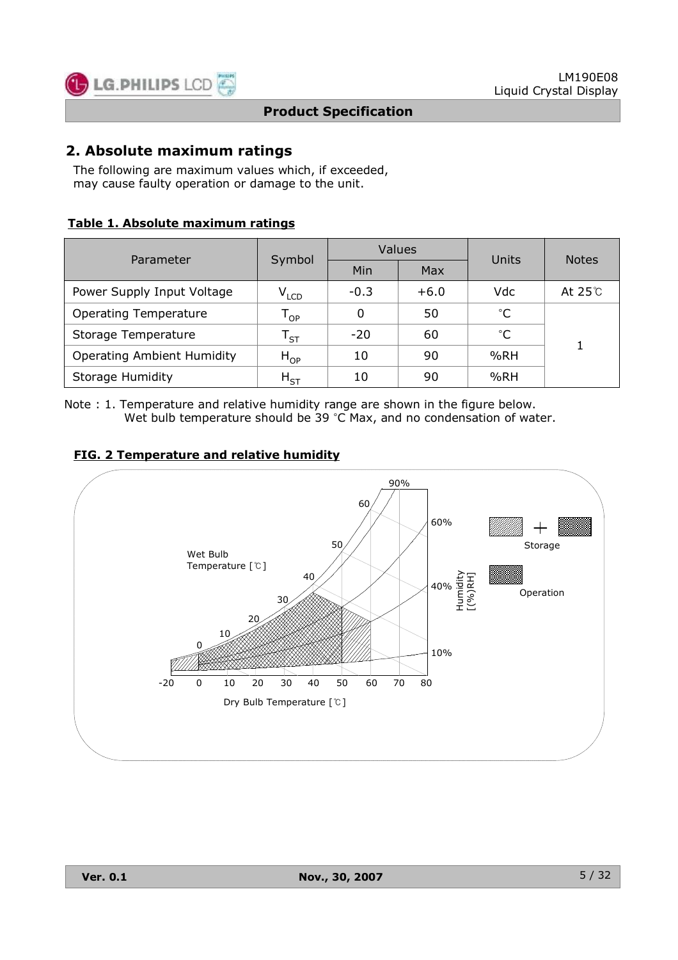

#### **2. Absolute maximum ratings**

The following are maximum values which, if exceeded, may cause faulty operation or damage to the unit.

#### **Table 1. Absolute maximum ratings**

| Parameter                         | Symbol                       |        | Values | Units        | <b>Notes</b>  |  |
|-----------------------------------|------------------------------|--------|--------|--------------|---------------|--|
|                                   |                              | Min    | Max    |              |               |  |
| Power Supply Input Voltage        | $V_{LCD}$                    | $-0.3$ | $+6.0$ | Vdc          | At $25^\circ$ |  |
| <b>Operating Temperature</b>      | ${\mathsf T}_{\mathsf {OP}}$ | 0      | 50     | $^{\circ}C$  |               |  |
| Storage Temperature               | $\mathsf{T}_{\mathsf{ST}}$   | $-20$  | 60     | $^{\circ}$ C |               |  |
| <b>Operating Ambient Humidity</b> | $H_{OP}$                     | 10     | 90     | %RH          |               |  |
| <b>Storage Humidity</b>           | $H_{ST}$                     | 10     | 90     | %RH          |               |  |

Note : 1. Temperature and relative humidity range are shown in the figure below. Wet bulb temperature should be 39 °C Max, and no condensation of water.

#### **FIG. 2 Temperature and relative humidity**

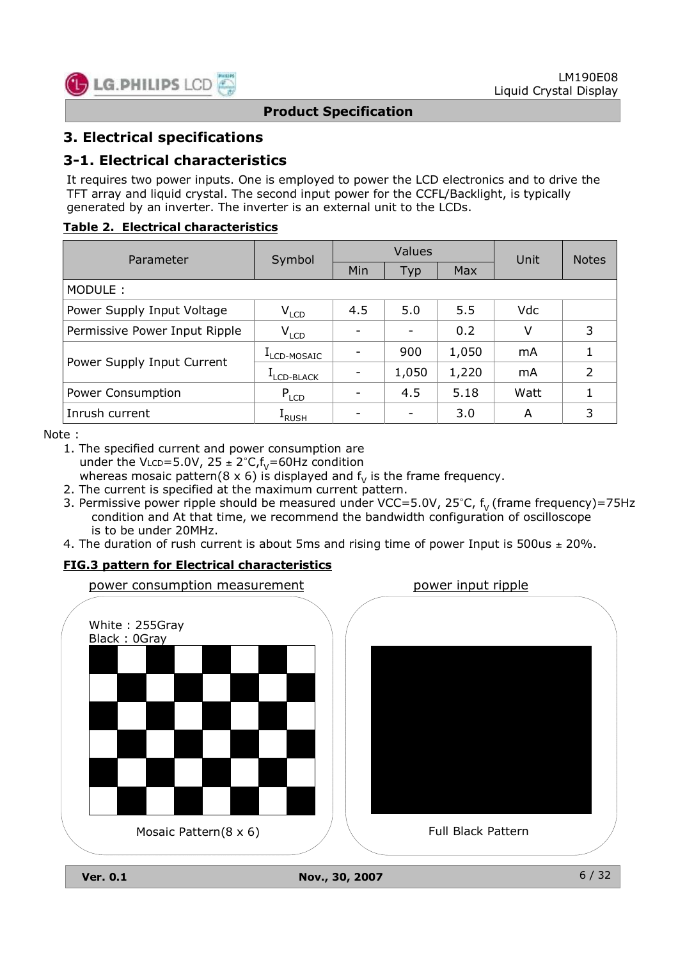

## **3. Electrical specifications**

### **3-1. Electrical characteristics**

It requires two power inputs. One is employed to power the LCD electronics and to drive the TFT array and liquid crystal. The second input power for the CCFL/Backlight, is typically generated by an inverter. The inverter is an external unit to the LCDs.

#### **Table 2. Electrical characteristics**

| Parameter                     | Symbol        |     | Values |       | Unit       | <b>Notes</b>   |
|-------------------------------|---------------|-----|--------|-------|------------|----------------|
|                               |               | Min | Typ    | Max   |            |                |
| MODULE:                       |               |     |        |       |            |                |
| Power Supply Input Voltage    | $V_{LCD}$     | 4.5 | 5.0    | 5.5   | <b>Vdc</b> |                |
| Permissive Power Input Ripple | $V_{LCD}$     |     |        | 0.2   | V          | 3              |
|                               | LCD-MOSAIC    |     | 900    | 1,050 | mA         |                |
| Power Supply Input Current    | LCD-BLACK     |     | 1,050  | 1,220 | mA         | $\overline{2}$ |
| Power Consumption             | $P_{LCD}$     |     | 4.5    | 5.18  | Watt       |                |
| Inrush current                | <b>L</b> RUSH |     |        | 3.0   | A          | 3              |

Note :

1. The specified current and power consumption are under the VLCD=5.0V,  $25 \pm 2^{\circ}C_{r}f_{V} = 60$ Hz condition whereas mosaic pattern(8 x 6) is displayed and  $f_v$  is the frame frequency.

- 2. The current is specified at the maximum current pattern.
- 3. Permissive power ripple should be measured under VCC=5.0V, 25°C,  $f_v$  (frame frequency)=75Hz condition and At that time, we recommend the bandwidth configuration of oscilloscope is to be under 20MHz.
- 4. The duration of rush current is about 5ms and rising time of power Input is 500us  $\pm$  20%.

#### **FIG.3 pattern for Electrical characteristics**



**Ver. 0.1 Nov., 30, 2007**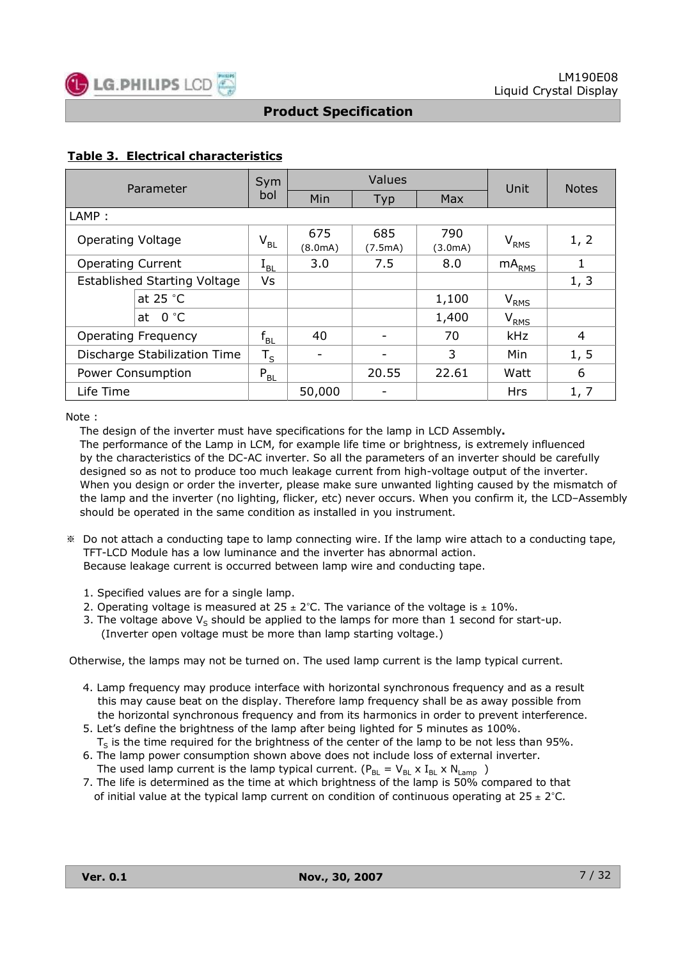

#### **Table 3. Electrical characteristics**

| Parameter                           | Sym                        |                | Values         |                | Unit                               | <b>Notes</b> |
|-------------------------------------|----------------------------|----------------|----------------|----------------|------------------------------------|--------------|
|                                     | bol                        | Min            | Typ            | <b>Max</b>     |                                    |              |
| LAMP:                               |                            |                |                |                |                                    |              |
| <b>Operating Voltage</b>            | $V_{BL}$                   | 675<br>(8.0mA) | 685<br>(7.5mA) | 790<br>(3.0mA) | $\mathsf{V}_{\mathsf{RMS}}$        | 1, 2         |
| <b>Operating Current</b>            | $\rm I_{BL}$               | 3.0            | 7.5            | 8.0            | $mA_{RMS}$                         | 1            |
| <b>Established Starting Voltage</b> | Vs                         |                |                |                |                                    | 1, 3         |
| at $25 °C$                          |                            |                |                | 1,100          | $\bm{{\mathsf{V}}}_{\mathsf{RMS}}$ |              |
| 0 °C<br>at                          |                            |                |                | 1,400          | V <sub>RMS</sub>                   |              |
| <b>Operating Frequency</b>          | $\mathsf{f}_{\mathsf{BL}}$ | 40             |                | 70             | kHz                                | 4            |
| Discharge Stabilization Time        | $\mathsf{T}_\mathsf{S}$    | -              |                | 3              | Min                                | 1, 5         |
| Power Consumption                   | $P_{BL}$                   |                | 20.55          | 22.61          | Watt                               | 6            |
| Life Time                           |                            | 50,000         | ۰              |                | <b>Hrs</b>                         | 1, 7         |

Note :

The design of the inverter must have specifications for the lamp in LCD Assembly**.** The performance of the Lamp in LCM, for example life time or brightness, is extremely influenced by the characteristics of the DC-AC inverter. So all the parameters of an inverter should be carefully designed so as not to produce too much leakage current from high-voltage output of the inverter. When you design or order the inverter, please make sure unwanted lighting caused by the mismatch of the lamp and the inverter (no lighting, flicker, etc) never occurs. When you confirm it, the LCD–Assembly should be operated in the same condition as installed in you instrument.

- ※ Do not attach a conducting tape to lamp connecting wire. If the lamp wire attach to a conducting tape, TFT-LCD Module has a low luminance and the inverter has abnormal action. Because leakage current is occurred between lamp wire and conducting tape.
	- 1. Specified values are for a single lamp.
	- 2. Operating voltage is measured at 25  $\pm$  2°C. The variance of the voltage is  $\pm$  10%.
	- 3. The voltage above  $V_s$  should be applied to the lamps for more than 1 second for start-up. (Inverter open voltage must be more than lamp starting voltage.)

Otherwise, the lamps may not be turned on. The used lamp current is the lamp typical current.

- 4. Lamp frequency may produce interface with horizontal synchronous frequency and as a result this may cause beat on the display. Therefore lamp frequency shall be as away possible from the horizontal synchronous frequency and from its harmonics in order to prevent interference.
- 5. Let's define the brightness of the lamp after being lighted for 5 minutes as 100%.  $T<sub>S</sub>$  is the time required for the brightness of the center of the lamp to be not less than 95%.
- 6. The lamp power consumption shown above does not include loss of external inverter. The used lamp current is the lamp typical current. ( $P_{BL} = V_{BL} \times I_{BL} \times N_{Lamp}$ )
- 7. The life is determined as the time at which brightness of the lamp is 50% compared to that of initial value at the typical lamp current on condition of continuous operating at  $25 \pm 2^{\circ}$ C.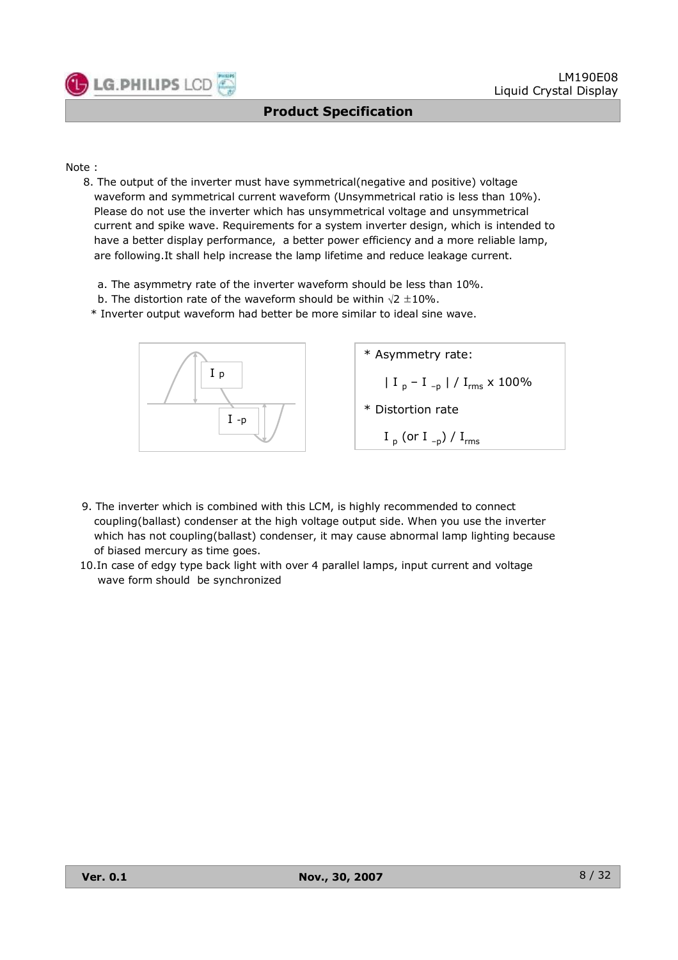

Note :

- 8. The output of the inverter must have symmetrical(negative and positive) voltage waveform and symmetrical current waveform (Unsymmetrical ratio is less than 10%). Please do not use the inverter which has unsymmetrical voltage and unsymmetrical current and spike wave. Requirements for a system inverter design, which is intended to have a better display performance, a better power efficiency and a more reliable lamp, are following.It shall help increase the lamp lifetime and reduce leakage current.
	- a. The asymmetry rate of the inverter waveform should be less than 10%.
	- b. The distortion rate of the waveform should be within  $\sqrt{2} \pm 10\%$ .
	- \* Inverter output waveform had better be more similar to ideal sine wave.



- 9. The inverter which is combined with this LCM, is highly recommended to connect coupling(ballast) condenser at the high voltage output side. When you use the inverter which has not coupling(ballast) condenser, it may cause abnormal lamp lighting because of biased mercury as time goes.
- 10.In case of edgy type back light with over 4 parallel lamps, input current and voltage wave form should be synchronized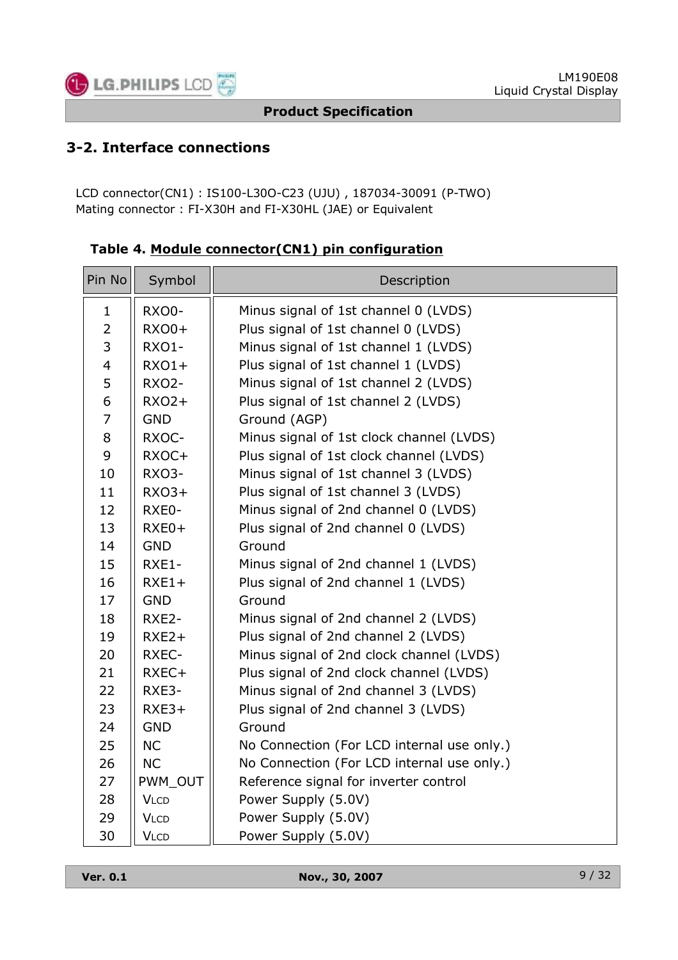

## **3-2. Interface connections**

LCD connector(CN1) : IS100-L30O-C23 (UJU) , 187034-30091 (P-TWO) Mating connector : FI-X30H and FI-X30HL (JAE) or Equivalent

| Pin No                  | Symbol       | Description                                |
|-------------------------|--------------|--------------------------------------------|
| $\mathbf{1}$            | RXO0-        | Minus signal of 1st channel 0 (LVDS)       |
| $\overline{2}$          | $RXOO+$      | Plus signal of 1st channel 0 (LVDS)        |
| 3                       | RXO1-        | Minus signal of 1st channel 1 (LVDS)       |
| $\overline{\mathbf{4}}$ | $RXO1+$      | Plus signal of 1st channel 1 (LVDS)        |
| 5                       | <b>RXO2-</b> | Minus signal of 1st channel 2 (LVDS)       |
| 6                       | $RXO2+$      | Plus signal of 1st channel 2 (LVDS)        |
| $\overline{7}$          | <b>GND</b>   | Ground (AGP)                               |
| 8                       | RXOC-        | Minus signal of 1st clock channel (LVDS)   |
| 9                       | RXOC+        | Plus signal of 1st clock channel (LVDS)    |
| 10                      | RXO3-        | Minus signal of 1st channel 3 (LVDS)       |
| 11                      | $RXO3+$      | Plus signal of 1st channel 3 (LVDS)        |
| 12                      | RXE0-        | Minus signal of 2nd channel 0 (LVDS)       |
| 13                      | RXE0+        | Plus signal of 2nd channel 0 (LVDS)        |
| 14                      | <b>GND</b>   | Ground                                     |
| 15                      | RXE1-        | Minus signal of 2nd channel 1 (LVDS)       |
| 16                      | $RXE1+$      | Plus signal of 2nd channel 1 (LVDS)        |
| 17                      | <b>GND</b>   | Ground                                     |
| 18                      | RXE2-        | Minus signal of 2nd channel 2 (LVDS)       |
| 19                      | $RXE2+$      | Plus signal of 2nd channel 2 (LVDS)        |
| 20                      | RXEC-        | Minus signal of 2nd clock channel (LVDS)   |
| 21                      | RXEC+        | Plus signal of 2nd clock channel (LVDS)    |
| 22                      | RXE3-        | Minus signal of 2nd channel 3 (LVDS)       |
| 23                      | $RXE3+$      | Plus signal of 2nd channel 3 (LVDS)        |
| 24                      | <b>GND</b>   | Ground                                     |
| 25                      | <b>NC</b>    | No Connection (For LCD internal use only.) |
| 26                      | <b>NC</b>    | No Connection (For LCD internal use only.) |
| 27                      | PWM_OUT      | Reference signal for inverter control      |
| 28                      | <b>VLCD</b>  | Power Supply (5.0V)                        |
| 29                      | <b>VLCD</b>  | Power Supply (5.0V)                        |
| 30                      | <b>VLCD</b>  | Power Supply (5.0V)                        |

**Table 4. Module connector(CN1) pin configuration**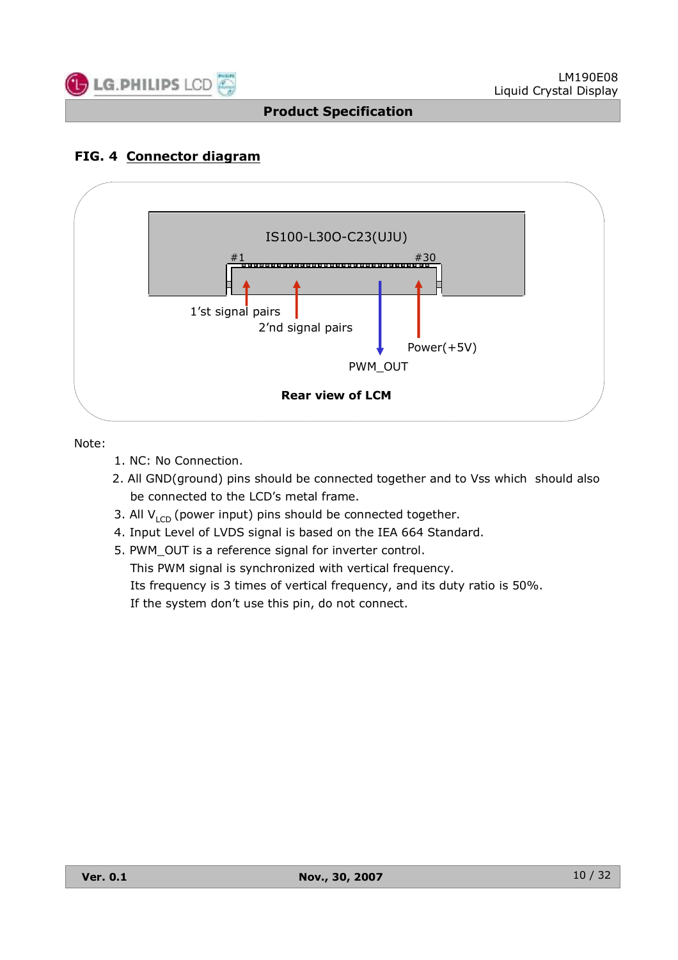

## **FIG. 4 Connector diagram**



Note:

- 1. NC: No Connection.
- 2. All GND(ground) pins should be connected together and to Vss which should also be connected to the LCD's metal frame.
- 3. All  $V_{LCD}$  (power input) pins should be connected together.
- 4. Input Level of LVDS signal is based on the IEA 664 Standard.
- 5. PWM\_OUT is a reference signal for inverter control. This PWM signal is synchronized with vertical frequency. Its frequency is 3 times of vertical frequency, and its duty ratio is 50%. If the system don't use this pin, do not connect.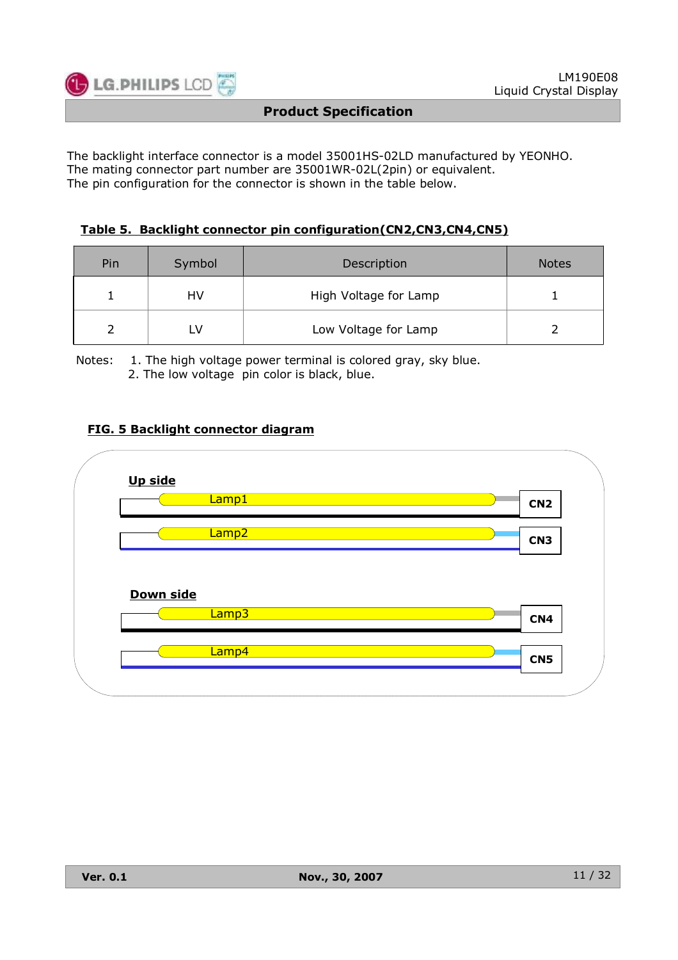

The backlight interface connector is a model 35001HS-02LD manufactured by YEONHO. The mating connector part number are 35001WR-02L(2pin) or equivalent. The pin configuration for the connector is shown in the table below.

#### **Table 5. Backlight connector pin configuration(CN2,CN3,CN4,CN5)**

| Pin | Symbol | Description           | <b>Notes</b> |
|-----|--------|-----------------------|--------------|
|     | HV     | High Voltage for Lamp |              |
|     |        | Low Voltage for Lamp  |              |

Notes: 1. The high voltage power terminal is colored gray, sky blue. 2. The low voltage pin color is black, blue.

#### **FIG. 5 Backlight connector diagram**

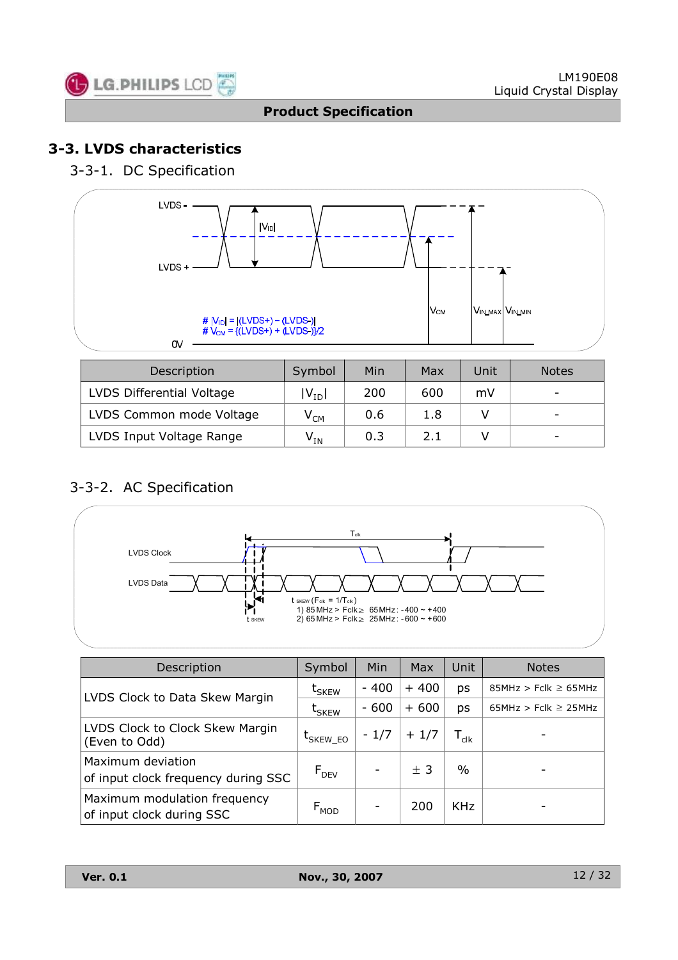

## **3-3. LVDS characteristics**

3-3-1. DC Specification



| Description               | Symbol                     | Min | Max | Unit | <b>Notes</b> |
|---------------------------|----------------------------|-----|-----|------|--------------|
| LVDS Differential Voltage | $ V_{ID} $                 | 200 | 600 | mV   |              |
| LVDS Common mode Voltage  | $\mathsf{V}_{\mathsf{CM}}$ | 0.6 | 1.8 |      |              |
| LVDS Input Voltage Range  | $\mathsf{V}_{\mathsf{IN}}$ | 0.3 | 2.1 |      |              |

## 3-3-2. AC Specification



| Description                                               | Symbol                              | Min    | Max    | Unit                    | <b>Notes</b>             |
|-----------------------------------------------------------|-------------------------------------|--------|--------|-------------------------|--------------------------|
|                                                           | $\bm{{\mathsf{t}}}_{\mathsf{SKEW}}$ | $-400$ | $+400$ | ps                      | $85MHz > Fclk \ge 65MHz$ |
| LVDS Clock to Data Skew Margin                            | $\bm{{\mathsf{t}}}_{\mathsf{SKEW}}$ | $-600$ | $+600$ | ps                      | $65MHz > Fclk \ge 25MHz$ |
| LVDS Clock to Clock Skew Margin<br>(Even to Odd)          | $\mathrm{t}_{\text{SKEW\_EO}}$      | $-1/7$ | $+1/7$ | ${\mathsf T}_{\sf clk}$ |                          |
| Maximum deviation<br>of input clock frequency during SSC  | $F_{DEV}$                           |        | ± 3    | $\%$                    |                          |
| Maximum modulation frequency<br>of input clock during SSC | $F_{MOD}$                           |        | 200    | <b>KHz</b>              |                          |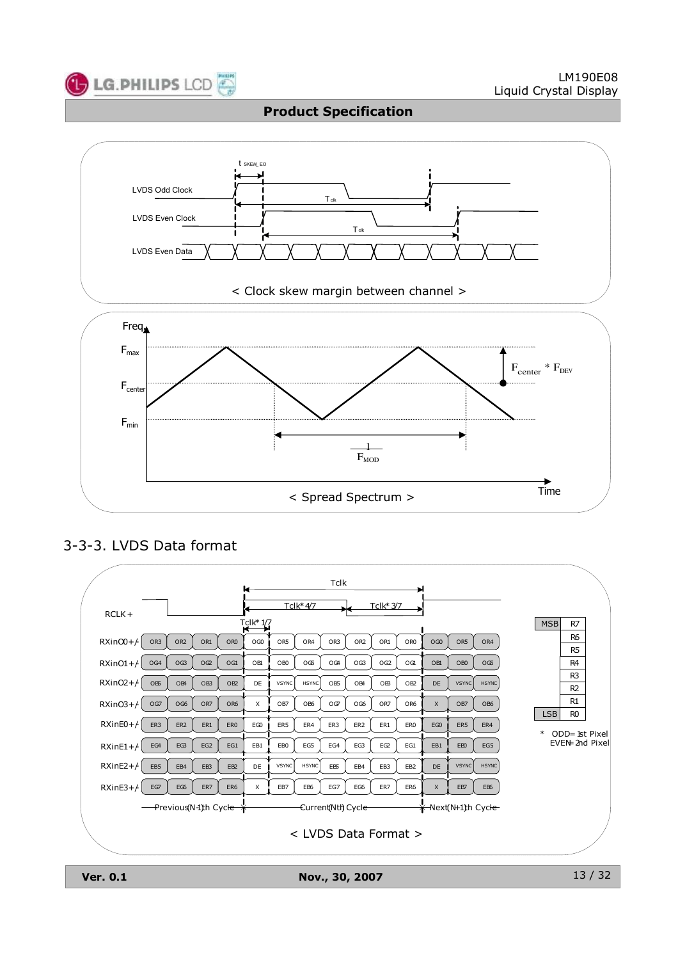



## 3-3-3. LVDS Data format



**Ver. 0.1 Nov., 30, 2007**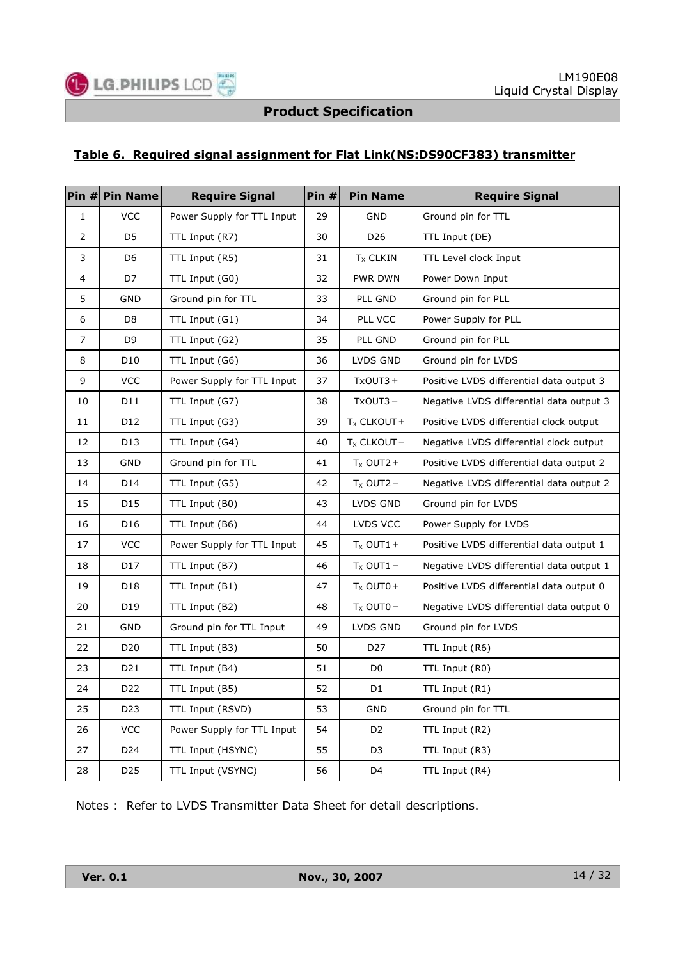#### **Table 6. Required signal assignment for Flat Link(NS:DS90CF383) transmitter**

|                | Pin # Pin Name  | <b>Require Signal</b>      | Pin# | <b>Pin Name</b> | <b>Require Signal</b>                    |
|----------------|-----------------|----------------------------|------|-----------------|------------------------------------------|
| $\mathbf{1}$   | <b>VCC</b>      | Power Supply for TTL Input | 29   | <b>GND</b>      | Ground pin for TTL                       |
| $\overline{2}$ | D <sub>5</sub>  | TTL Input (R7)             | 30   | D <sub>26</sub> | TTL Input (DE)                           |
| 3              | D <sub>6</sub>  | TTL Input (R5)             | 31   | $T_{X}$ CLKIN   | TTL Level clock Input                    |
| 4              | D7              | TTL Input (G0)             | 32   | PWR DWN         | Power Down Input                         |
| 5              | GND             | Ground pin for TTL         | 33   | PLL GND         | Ground pin for PLL                       |
| 6              | D <sub>8</sub>  | TTL Input (G1)             | 34   | PLL VCC         | Power Supply for PLL                     |
| 7              | D <sub>9</sub>  | TTL Input (G2)             | 35   | PLL GND         | Ground pin for PLL                       |
| 8              | D10             | TTL Input (G6)             | 36   | LVDS GND        | Ground pin for LVDS                      |
| 9              | <b>VCC</b>      | Power Supply for TTL Input | 37   | TxOUT3+         | Positive LVDS differential data output 3 |
| 10             | D11             | TTL Input (G7)             | 38   | $TxOUT3 -$      | Negative LVDS differential data output 3 |
| 11             | D12             | TTL Input (G3)             | 39   | $T_X$ CLKOUT +  | Positive LVDS differential clock output  |
| 12             | D13             | TTL Input (G4)             | 40   | $T_X$ CLKOUT -  | Negative LVDS differential clock output  |
| 13             | GND             | Ground pin for TTL         | 41   | $T_X$ OUT2 +    | Positive LVDS differential data output 2 |
| 14             | D14             | TTL Input (G5)             | 42   | $T_x$ OUT2 -    | Negative LVDS differential data output 2 |
| 15             | D15             | TTL Input (B0)             | 43   | LVDS GND        | Ground pin for LVDS                      |
| 16             | D16             | TTL Input (B6)             | 44   | LVDS VCC        | Power Supply for LVDS                    |
| 17             | <b>VCC</b>      | Power Supply for TTL Input | 45   | $T_x$ OUT1+     | Positive LVDS differential data output 1 |
| 18             | D17             | TTL Input (B7)             | 46   | $T_x$ OUT1 -    | Negative LVDS differential data output 1 |
| 19             | D18             | TTL Input (B1)             | 47   | $T_x$ OUT0+     | Positive LVDS differential data output 0 |
| 20             | D19             | TTL Input (B2)             | 48   | $T_x$ OUT0 -    | Negative LVDS differential data output 0 |
| 21             | GND             | Ground pin for TTL Input   | 49   | LVDS GND        | Ground pin for LVDS                      |
| 22             | D <sub>20</sub> | TTL Input (B3)             | 50   | D <sub>27</sub> | TTL Input (R6)                           |
| 23             | D21             | TTL Input (B4)             | 51   | D <sub>0</sub>  | TTL Input (R0)                           |
| 24             | D <sub>22</sub> | TTL Input (B5)             | 52   | D <sub>1</sub>  | TTL Input (R1)                           |
| 25             | D23             | TTL Input (RSVD)           | 53   | GND             | Ground pin for TTL                       |
| 26             | <b>VCC</b>      | Power Supply for TTL Input | 54   | D <sub>2</sub>  | TTL Input (R2)                           |
| 27             | D24             | TTL Input (HSYNC)          | 55   | D <sub>3</sub>  | TTL Input (R3)                           |
| 28             | D <sub>25</sub> | TTL Input (VSYNC)          | 56   | D4              | TTL Input (R4)                           |

Notes : Refer to LVDS Transmitter Data Sheet for detail descriptions.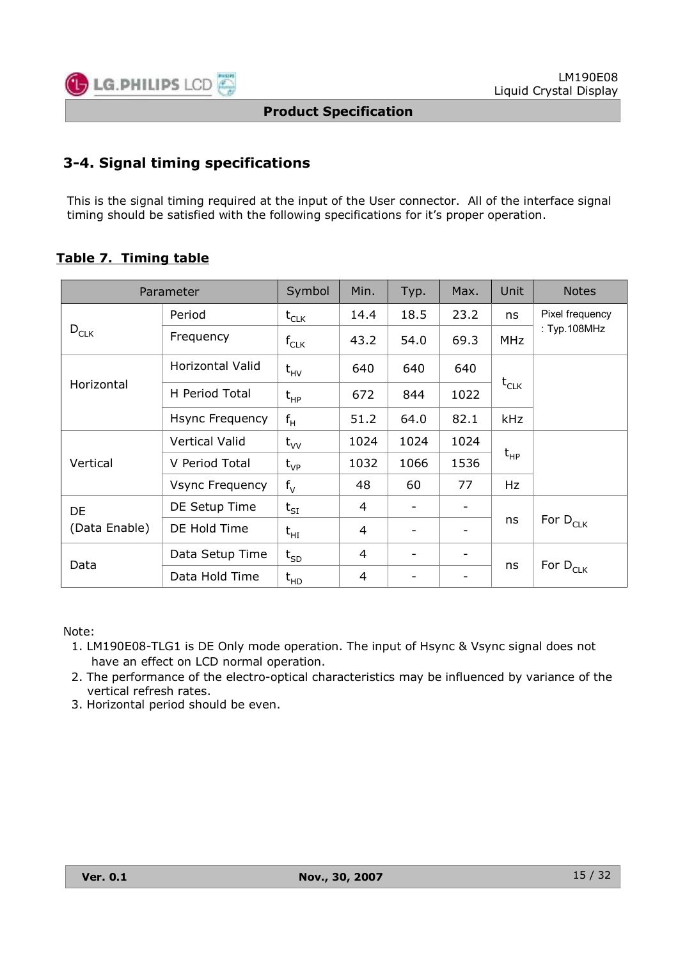![](_page_14_Picture_0.jpeg)

## **3-4. Signal timing specifications**

This is the signal timing required at the input of the User connector. All of the interface signal timing should be satisfied with the following specifications for it's proper operation.

## **Table 7. Timing table**

|               | Parameter               | Symbol    | Min. | Typ.                         | Max.                         | Unit                       | <b>Notes</b>         |  |
|---------------|-------------------------|-----------|------|------------------------------|------------------------------|----------------------------|----------------------|--|
|               | Period                  | $t_{CLK}$ | 14.4 | 18.5                         | 23.2                         | ns                         | Pixel frequency      |  |
| $D_{CLK}$     | Frequency               | $f_{CLK}$ | 43.2 | 54.0                         | 69.3                         | <b>MHz</b>                 | : $Typ.108MHz$       |  |
|               | <b>Horizontal Valid</b> | $t_{HV}$  | 640  | 640                          | 640                          | $t_{CLK}$                  |                      |  |
| Horizontal    | H Period Total          | $t_{HP}$  | 672  | 844                          | 1022                         |                            |                      |  |
|               | Hsync Frequency         | $f_H$     | 51.2 | 64.0                         | 82.1                         | <b>kHz</b>                 |                      |  |
|               | <b>Vertical Valid</b>   | $t_{VV}$  | 1024 | 1024                         | 1024                         |                            |                      |  |
| Vertical      | V Period Total          | $t_{VP}$  | 1032 | 1066                         | 1536                         | $\mathsf{t}_{\mathsf{HP}}$ |                      |  |
|               | Vsync Frequency         | $f_V$     | 48   | 60                           | 77                           | Hz                         |                      |  |
| <b>DE</b>     | DE Setup Time           | $t_{SI}$  | 4    | $\qquad \qquad \blacksquare$ | -                            |                            |                      |  |
| (Data Enable) | DE Hold Time            | $t_{HI}$  | 4    | $\qquad \qquad \blacksquare$ | $\qquad \qquad -$            | ns                         | For D <sub>CLK</sub> |  |
| Data          | Data Setup Time         | $t_{SD}$  | 4    | $\qquad \qquad \blacksquare$ | $\qquad \qquad -$            | ns                         |                      |  |
|               | Data Hold Time          | $t_{HD}$  | 4    | -                            | $\qquad \qquad \blacksquare$ |                            | For $D_{CLK}$        |  |

#### Note:

- 1. LM190E08-TLG1 is DE Only mode operation. The input of Hsync & Vsync signal does not have an effect on LCD normal operation.
- 2. The performance of the electro-optical characteristics may be influenced by variance of the vertical refresh rates.
- 3. Horizontal period should be even.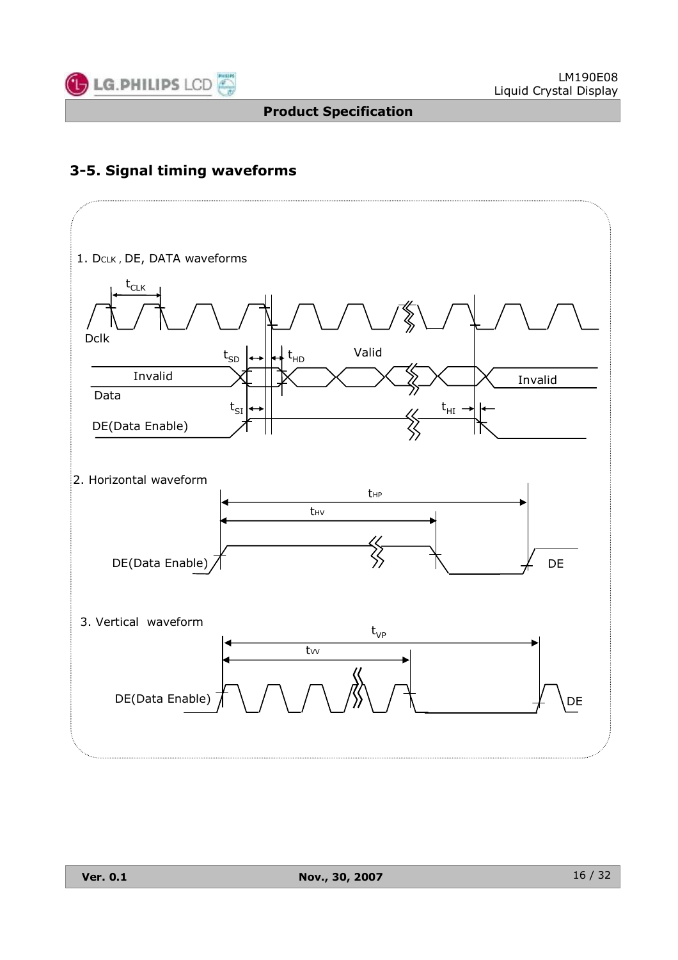![](_page_15_Picture_0.jpeg)

## **3-5. Signal timing waveforms**

![](_page_15_Figure_4.jpeg)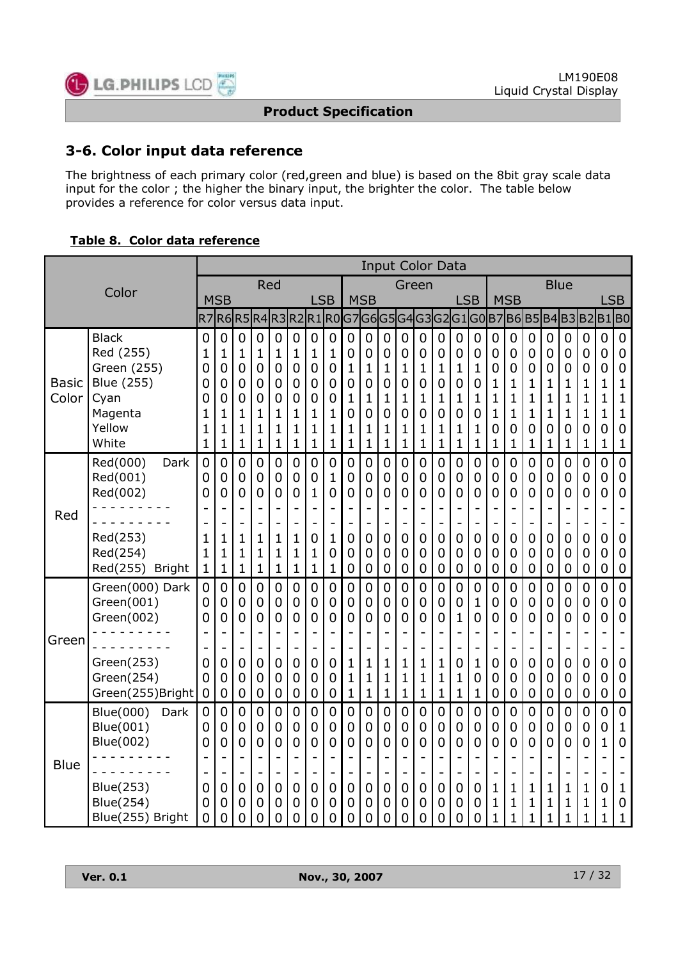![](_page_16_Picture_0.jpeg)

## **3-6. Color input data reference**

The brightness of each primary color (red,green and blue) is based on the 8bit gray scale data input for the color ; the higher the binary input, the brighter the color. The table below provides a reference for color versus data input.

#### **Table 8. Color data reference**

|                       |                                                                                                                              |                                                 |                                                                        |                                                                         |                                                                                                                        |                                                |                                                                     |                                                                                                                                   |                                                                                 |                                                                    |                                                                                               |                                                                                                          |                                                                                 |                                                                                                                       | <b>Input Color Data</b>                                                                          |                                                                   |                                                          |                                                                                                       |                                                                                                                   |                                                 |                                                                                            |                                                                                    |                                              |                                                                    |                                                                                                      |
|-----------------------|------------------------------------------------------------------------------------------------------------------------------|-------------------------------------------------|------------------------------------------------------------------------|-------------------------------------------------------------------------|------------------------------------------------------------------------------------------------------------------------|------------------------------------------------|---------------------------------------------------------------------|-----------------------------------------------------------------------------------------------------------------------------------|---------------------------------------------------------------------------------|--------------------------------------------------------------------|-----------------------------------------------------------------------------------------------|----------------------------------------------------------------------------------------------------------|---------------------------------------------------------------------------------|-----------------------------------------------------------------------------------------------------------------------|--------------------------------------------------------------------------------------------------|-------------------------------------------------------------------|----------------------------------------------------------|-------------------------------------------------------------------------------------------------------|-------------------------------------------------------------------------------------------------------------------|-------------------------------------------------|--------------------------------------------------------------------------------------------|------------------------------------------------------------------------------------|----------------------------------------------|--------------------------------------------------------------------|------------------------------------------------------------------------------------------------------|
| Color                 |                                                                                                                              |                                                 | Red                                                                    |                                                                         |                                                                                                                        |                                                |                                                                     |                                                                                                                                   |                                                                                 | Green                                                              |                                                                                               |                                                                                                          |                                                                                 |                                                                                                                       |                                                                                                  |                                                                   |                                                          |                                                                                                       | <b>Blue</b>                                                                                                       |                                                 |                                                                                            |                                                                                    |                                              |                                                                    |                                                                                                      |
|                       |                                                                                                                              |                                                 | <b>MSB</b>                                                             |                                                                         |                                                                                                                        |                                                |                                                                     | <b>LSB</b>                                                                                                                        |                                                                                 |                                                                    | <b>MSB</b>                                                                                    |                                                                                                          |                                                                                 |                                                                                                                       |                                                                                                  | <b>LSB</b>                                                        |                                                          |                                                                                                       | <b>MSB</b>                                                                                                        |                                                 |                                                                                            |                                                                                    |                                              | <b>LSB</b>                                                         |                                                                                                      |
|                       |                                                                                                                              | R7                                              | R6R5                                                                   |                                                                         |                                                                                                                        |                                                | R4R3R2                                                              |                                                                                                                                   | R1R0                                                                            |                                                                    |                                                                                               |                                                                                                          |                                                                                 |                                                                                                                       | G7G6G5G4G3G2G1G0                                                                                 |                                                                   |                                                          |                                                                                                       |                                                                                                                   | <b>B7B6B5</b>                                   |                                                                                            | B4B3B2                                                                             |                                              | B1 B0                                                              |                                                                                                      |
| <b>Basic</b><br>Color | <b>Black</b><br>Red (255)<br>Green (255)<br><b>Blue (255)</b><br>Cyan<br>Magenta<br>Yellow<br>White                          | 0<br>1<br>0<br>0<br>0<br>1<br>1<br>$\mathbf{1}$ | $\mathbf 0$<br>1<br>0<br>0<br>0<br>1<br>1<br>$\mathbf 1$               | $\mathbf 0$<br>$\mathbf{1}$<br>0<br>0<br>0<br>1<br>1<br>$\mathbf 1$     | 0<br>$\mathbf 1$<br>0<br>0<br>0<br>1<br>1<br>$\mathbf 1$                                                               | 0<br>1<br>0<br>0<br>0<br>1<br>1<br>$\mathbf 1$ | 0<br>1<br>0<br>0<br>0<br>1<br>1<br>$\mathbf{1}$                     | $\mathbf 0$<br>$\mathbf 1$<br>$\mathbf 0$<br>$\overline{0}$<br>$\mathbf 0$<br>1<br>1<br>$\mathbf{1}$                              | $\mathbf 0$<br>1<br>$\mathbf 0$<br>$\mathbf 0$<br>0<br>1<br>1<br>$\mathbf 1$    | 0<br>$\mathbf 0$<br>$\mathbf 1$<br>0<br>1<br>0<br>1<br>$\mathbf 1$ | 0<br>0<br>$\mathbf 1$<br>0<br>1<br>0<br>1<br>$\mathbf{1}$                                     | 0<br>0<br>1<br>0<br>1<br>0<br>1<br>$\mathbf{1}$                                                          | 0<br>$\mathbf 0$<br>$\mathbf 1$<br>$\overline{0}$<br>1<br>0<br>1<br>$\mathbf 1$ | $\mathbf 0$<br>$\boldsymbol{0}$<br>$\mathbf 1$<br>$\mathbf 0$<br>$\mathbf 1$<br>0<br>1<br>$\mathbf 1$                 | 0<br>0<br>$\mathbf 1$<br>0<br>1<br>0<br>1<br>$\mathbf{1}$                                        | $\mathbf 0$<br>$\mathbf 0$<br>1<br>0<br>1<br>0<br>1<br>1          | $\mathbf 0$<br>0<br>1<br>0<br>1<br>0<br>1<br>1           | 0<br>0<br>0<br>$\mathbf{1}$<br>$\mathbf 1$<br>$\mathbf{1}$<br>0<br>$\mathbf 1$                        | $\mathbf 0$<br>$\mathbf 0$<br>$\boldsymbol{0}$<br>$\mathbf 1$<br>$\mathbf 1$<br>$\mathbf{1}$<br>0<br>$\mathbf{1}$ | 0<br>0<br>0<br>1<br>$\mathbf{1}$<br>1<br>0<br>1 | 0<br>0<br>0<br>1<br>1<br>1<br>0<br>$\mathbf 1$                                             | 0<br>0<br>0<br>1<br>1<br>1<br>0<br>1                                               | 0<br>0<br>0<br>1<br>1<br>1<br>0<br>1         | 0<br>0<br>0<br>$\mathbf 1$<br>$\mathbf 1$<br>1<br>0<br>$\mathbf 1$ | $\mathbf 0$<br>$\mathbf 0$<br>0<br>$\mathbf{1}$<br>$\mathbf{1}$<br>$\mathbf{1}$<br>0<br>$\mathbf{1}$ |
| Red                   | Red(000)<br>Dark<br>Red(001)<br>Red(002)<br>Red(253)<br>Red(254)<br>Red(255) Bright                                          | 0<br>0<br>0<br>1<br>1<br>1                      | $\mathbf 0$<br>$\overline{0}$<br>0<br>$\mathbf{1}$<br>$\mathbf 1$<br>1 | $\mathbf 0$<br>$\mathbf 0$<br>0<br>۰<br>$\mathbf 1$<br>1<br>$\mathbf 1$ | 0<br>$\mathbf 0$<br>$\overline{0}$<br>$\qquad \qquad -$<br>$\overline{\phantom{0}}$<br>$\mathbf 1$<br>1<br>$\mathbf 1$ | 0<br>0<br>0<br>1<br>1<br>1                     | $\overline{0}$<br>0<br>0<br>$\overline{\phantom{0}}$<br>1<br>1<br>1 | $\overline{0}$<br>$\mathbf 0$<br>$\mathbf{1}$<br>$\overline{a}$<br>$\overline{a}$<br>$\overline{0}$<br>$\mathbf 1$<br>$\mathbf 1$ | $\overline{0}$<br>$\mathbf{1}$<br>$\overline{0}$<br>۰<br>$\mathbf{1}$<br>0<br>1 | 0<br>$\mathbf 0$<br>0<br>$\mathbf 0$<br>0<br>$\mathbf 0$           | $\mathbf 0$<br>0<br>0<br>$\overline{\phantom{a}}$<br>$\overline{0}$<br>0<br>$\mathbf 0$       | 0<br>0<br>0<br>$\blacksquare$<br>0<br>0<br>$\mathbf 0$                                                   | 0<br>$\overline{0}$<br>$\overline{0}$<br>$\overline{0}$<br>$\overline{0}$<br>0  | $\mathbf 0$<br>$\mathbf 0$<br>$\overline{0}$<br>$\overline{\phantom{0}}$<br>$\mathbf 0$<br>$\mathbf 0$<br>$\mathbf 0$ | 0<br>0<br>0<br>$\overline{\phantom{a}}$<br>$\overline{0}$<br>0<br>$\mathbf 0$                    | 0<br>$\mathbf 0$<br>$\overline{0}$<br>$\mathbf 0$<br>0<br>0       | $\mathbf 0$<br>0<br>0<br>$\mathbf 0$<br>0<br>$\mathbf 0$ | $\mathbf 0$<br>$\mathbf 0$<br>$\overline{0}$<br>L,<br>$\overline{0}$<br>$\mathbf 0$<br>$\overline{0}$ | $\overline{0}$<br>$\overline{0}$<br>$\overline{0}$<br>$\overline{0}$<br>$\mathbf 0$<br>$\mathbf 0$                | 0<br>0<br>0<br>0<br>0<br>0                      | $\overline{0}$<br>0<br>0<br>$\overline{\phantom{a}}$<br>$\overline{0}$<br>0<br>$\mathbf 0$ | 0<br>0<br>0<br>$\overline{\phantom{0}}$<br>0<br>0<br>$\mathbf 0$                   | 0<br>0<br>0<br>0<br>$\overline{0}$<br>0      | 0<br>0<br>0<br>0<br>0<br>0                                         | $\mathbf 0$<br>$\mathbf 0$<br>$\overline{0}$<br>$\pmb{0}$<br>$\mathbf 0$<br>$\boldsymbol{0}$         |
| Green                 | Green(000) Dark<br>Green(001)<br>Green(002)<br>Green(253)<br>Green(254)<br>Green(255)Bright                                  | 0<br>0<br>0<br>0<br>0<br>0                      | $\mathbf 0$<br>$\overline{0}$<br>0<br>0<br>0<br>0                      | $\overline{0}$<br>0<br>0<br>-<br>0<br>0<br>0                            | 0<br>0<br>0<br>$\overline{\phantom{a}}$<br>$\overline{a}$<br>0<br>0<br>0                                               | $\mathbf 0$<br>0<br>0<br>0<br>0<br>0           | $\overline{0}$<br>0<br>0<br>-<br>0<br>0<br>0                        | $\overline{0}$<br>$\overline{0}$<br>0<br>$\overline{a}$<br>$\overline{a}$<br>0<br>$\overline{0}$<br>$\mathbf 0$                   | 0<br>0<br>0<br>$\overline{a}$<br>$\overline{a}$<br>0<br>0<br>$\mathbf 0$        | 0<br>0<br>0<br>1<br>1<br>1                                         | 0<br>0<br>0<br>$\overline{a}$<br>$\overline{\phantom{0}}$<br>1<br>$\mathbf{1}$<br>$\mathbf 1$ | 0<br>0<br>0<br>$\overline{\phantom{0}}$<br>$\overline{\phantom{0}}$<br>1<br>$\mathbf{1}$<br>$\mathbf{1}$ | $\mathbf 0$<br>$\overline{0}$<br>0<br>1<br>$\mathbf 1$<br>1                     | $\overline{0}$<br>0<br>0<br>-<br>$\overline{\phantom{0}}$<br>$\mathbf 1$<br>$\mathbf 1$<br>$\mathbf 1$                | 0<br>0<br>0<br>$\qquad \qquad -$<br>$\overline{\phantom{a}}$<br>$\mathbf 1$<br>1<br>$\mathbf{1}$ | 0<br>0<br>$\mathbf{1}$<br>$\overline{\phantom{0}}$<br>0<br>1<br>1 | $\mathbf 0$<br>1<br>0<br>1<br>0<br>1                     | $\overline{0}$<br>0<br>0<br>L,<br>÷<br>0<br>0<br>0                                                    | $\overline{0}$<br>$\boldsymbol{0}$<br>$\mathbf 0$<br>۰<br>0<br>$\mathbf 0$<br>$\mathbf 0$                         | 0<br>0<br>0<br>0<br>0<br>0                      | 0<br>0<br>0<br>$\qquad \qquad -$<br>$\overline{\phantom{a}}$<br>0<br>0<br>0                | 0<br>0<br>0<br>$\overline{\phantom{a}}$<br>$\overline{\phantom{0}}$<br>0<br>0<br>0 | 0<br>0<br>0<br>0<br>0<br>0                   | 0<br>0<br>0<br>0<br>0<br>0                                         | $\overline{0}$<br>$\mathbf 0$<br>0<br>$\overline{\phantom{a}}$<br>0<br>0<br>0                        |
| <b>Blue</b>           | Blue(000)<br>Dark<br>Blue(001)<br><b>Blue(002)</b><br>$- - - - - - - -$<br><b>Blue(253)</b><br>Blue(254)<br>Blue(255) Bright | 0<br>0<br>0<br>0<br>0<br>0                      | $\overline{0}$<br>0<br>0<br>0<br>0<br>0                                | 0<br>0<br>0<br>-<br>0<br>0<br>0                                         | 0<br>0<br>0<br>$\overline{a}$<br>0<br>0<br>0                                                                           | 0<br>0<br>0<br>0<br>0<br>0                     | 0<br>0<br>0<br>0<br>0<br>0                                          | $\overline{0}$<br>$\mathbf 0$<br>$\overline{0}$<br>$\qquad \qquad -$<br>$\mathbf 0$<br>$\mathbf 0$<br>$\overline{0}$              | 0<br>0<br>0<br>$\overline{a}$<br>0<br>0<br>0                                    | 0<br>0<br>0<br>0<br>0<br>0                                         | 0<br>0<br>0<br>$\qquad \qquad -$<br>0<br>0<br>0                                               | 0<br>0<br>0<br>$\qquad \qquad -$<br>0<br>0<br>0                                                          | $\overline{0}$<br>0<br>0<br>0<br>0<br>0                                         | $\overline{0}$<br>$\boldsymbol{0}$<br>0<br>$\qquad \qquad -$<br>0<br>0<br>0                                           | 0<br>0<br>0<br>$\overline{\phantom{a}}$<br>$\mathbf 0$<br>0<br>0                                 | 0<br>0<br>0<br>$\overline{a}$<br>0<br>0<br>0                      | $\overline{0}$<br>0<br>0<br>-<br>0<br>0<br>0             | 0<br>0<br>0<br>÷<br>$\mathbf{1}$<br>$\mathbf 1$<br>$\mathbf{1}$                                       | 0<br>$\boldsymbol{0}$<br>$\overline{0}$<br>1<br>1<br>1                                                            | 0<br>0<br>0<br>1<br>1                           | 0<br>0<br>0<br>$\overline{\phantom{0}}$<br>$\mathbf 1$<br>1<br>1                           | 0<br>0<br>0<br>$\overline{a}$<br>1<br>1<br>$\mathbf{1}$                            | 0<br>0<br>0<br>$\blacksquare$<br>1<br>1<br>1 | 0<br>0<br>1<br>-<br>0<br>1<br>$\mathbf{1}$                         | 0<br>1<br>0<br>1<br>0<br>$\mathbf{1}$                                                                |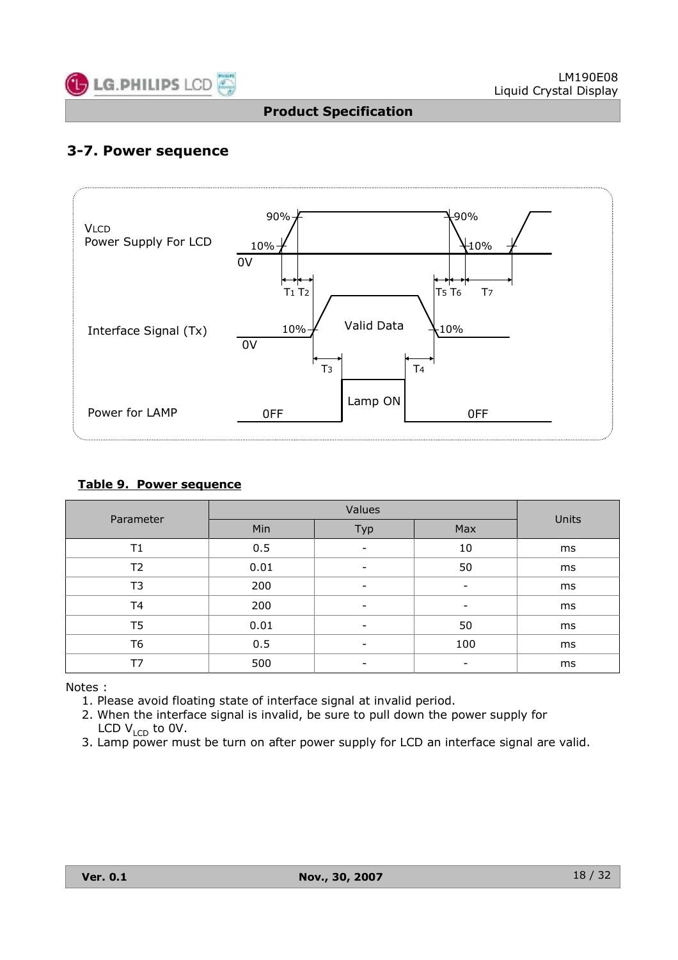![](_page_17_Picture_0.jpeg)

## **3-7. Power sequence**

![](_page_17_Figure_4.jpeg)

#### **Table 9. Power sequence**

| Parameter      |      |                          |     |       |
|----------------|------|--------------------------|-----|-------|
|                | Min  | Typ                      | Max | Units |
| T1             | 0.5  | -                        | 10  | ms    |
| T <sub>2</sub> | 0.01 | -                        | 50  | ms    |
| T <sub>3</sub> | 200  | -                        | -   | ms    |
| T <sub>4</sub> | 200  | -                        | -   | ms    |
| T <sub>5</sub> | 0.01 | -                        | 50  | ms    |
| T <sub>6</sub> | 0.5  | $\overline{\phantom{a}}$ | 100 | ms    |
| T7             | 500  | $\overline{\phantom{0}}$ |     | ms    |

Notes :

1. Please avoid floating state of interface signal at invalid period.

2. When the interface signal is invalid, be sure to pull down the power supply for LCD  $V_{\text{LCD}}$  to 0V.

3. Lamp power must be turn on after power supply for LCD an interface signal are valid.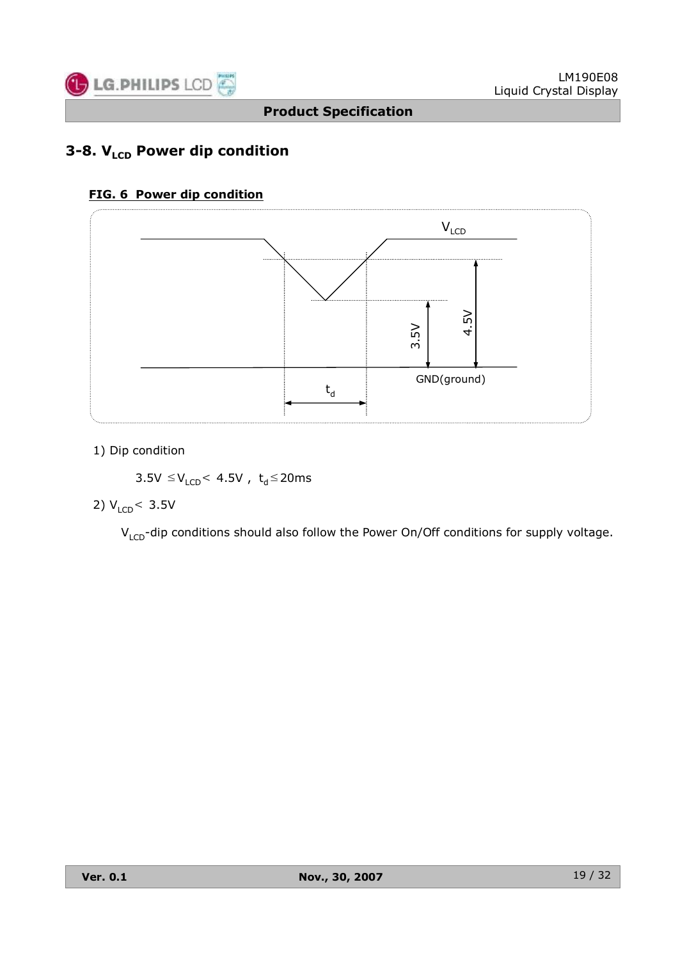![](_page_18_Picture_0.jpeg)

## **3-8. V<sub>LCD</sub> Power dip condition**

#### **FIG. 6 Power dip condition**

![](_page_18_Figure_5.jpeg)

#### 1) Dip condition

 $3.5V \leq V_{LCD}$ < 4.5V,  $t_d \leq 20ms$ 

#### 2)  $V_{LCD}$  < 3.5V

 $V_{LCD}$ -dip conditions should also follow the Power On/Off conditions for supply voltage.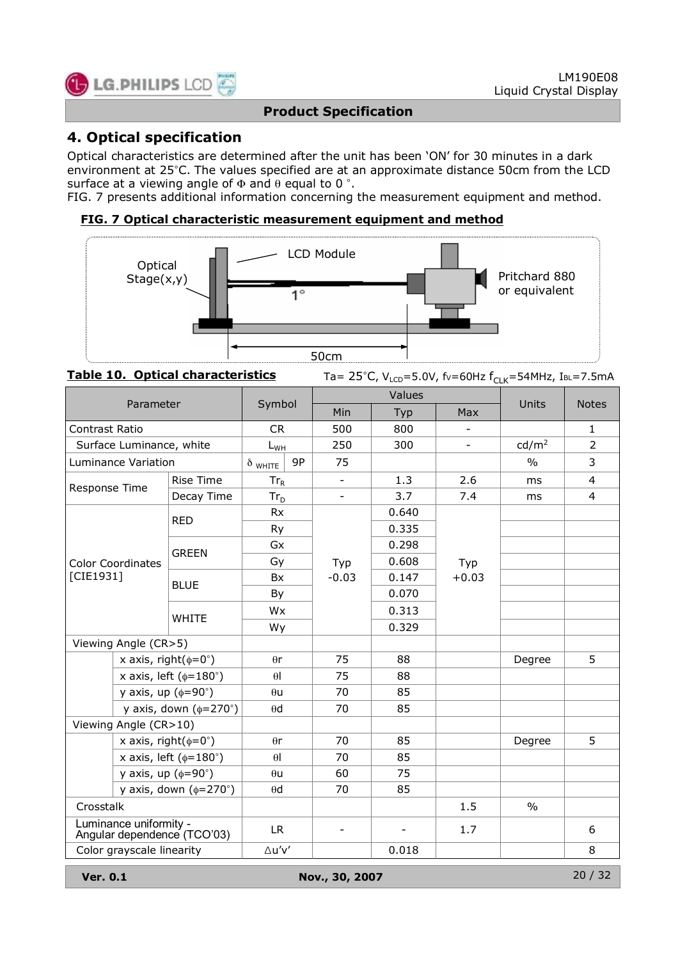![](_page_19_Picture_0.jpeg)

## **4. Optical specification**

Optical characteristics are determined after the unit has been 'ON' for 30 minutes in a dark environment at 25°C. The values specified are at an approximate distance 50cm from the LCD surface at a viewing angle of  $\Phi$  and  $\theta$  equal to 0 °.

FIG. 7 presents additional information concerning the measurement equipment and method.

#### **FIG. 7 Optical characteristic measurement equipment and method**

![](_page_19_Figure_7.jpeg)

**Table 10. Optical characteristics** Ta= 25°C, V<sub>LCD</sub>=5.0V, fv=60Hz f<sub>CLK</sub>=54MHz, IBL=7.5mA

| Parameter                       |                                     | Symbol                                                |                |     | Values         | Units | <b>Notes</b>             |                   |                |
|---------------------------------|-------------------------------------|-------------------------------------------------------|----------------|-----|----------------|-------|--------------------------|-------------------|----------------|
|                                 |                                     |                                                       |                |     | Min            | Typ   | Max                      |                   |                |
| Contrast Ratio                  |                                     | <b>CR</b>                                             |                | 500 | 800            |       |                          | $\mathbf{1}$      |                |
|                                 | Surface Luminance, white            |                                                       | $L_{WH}$       |     | 250            | 300   | $\overline{\phantom{a}}$ | cd/m <sup>2</sup> | $\overline{2}$ |
|                                 | Luminance Variation                 |                                                       | $\delta$ white | 9P  | 75             |       |                          | $\frac{0}{0}$     | 3              |
| Response Time                   |                                     | <b>Rise Time</b>                                      | $Tr_R$         |     | $\blacksquare$ | 1.3   | 2.6                      | ms                | $\overline{4}$ |
|                                 |                                     | Decay Time                                            | $Tr_D$         |     |                | 3.7   | 7.4                      | ms                | $\overline{4}$ |
|                                 |                                     | <b>RED</b>                                            | <b>Rx</b>      |     |                | 0.640 |                          |                   |                |
|                                 |                                     |                                                       | Ry             |     |                | 0.335 |                          |                   |                |
|                                 |                                     | <b>GREEN</b>                                          | Gx             |     | Typ            | 0.298 |                          |                   |                |
|                                 | <b>Color Coordinates</b>            |                                                       | Gy             |     |                | 0.608 | Typ                      |                   |                |
| [CIE1931]                       |                                     |                                                       | <b>Bx</b>      |     | $-0.03$        | 0.147 | $+0.03$                  |                   |                |
|                                 | <b>BLUE</b>                         | By                                                    |                |     | 0.070          |       |                          |                   |                |
|                                 | <b>WHITE</b>                        | Wx                                                    |                |     | 0.313          |       |                          |                   |                |
|                                 |                                     |                                                       | Wy             |     |                | 0.329 |                          |                   |                |
| Viewing Angle (CR>5)            |                                     |                                                       |                |     |                |       |                          |                   |                |
|                                 | x axis, right( $\phi = 0^{\circ}$ ) |                                                       | $\theta$ r     |     | 75             | 88    |                          | Degree            | 5              |
|                                 |                                     | x axis, left ( $\phi$ =180°)                          | $\theta$       |     | 75             | 88    |                          |                   |                |
|                                 | y axis, up $(\phi = 90^\circ)$      |                                                       | $\theta$ u     |     | 70             | 85    |                          |                   |                |
|                                 |                                     | y axis, down $(\phi=270^\circ)$                       | $\theta$ d     |     | 70             | 85    |                          |                   |                |
|                                 | Viewing Angle (CR>10)               |                                                       |                |     |                |       |                          |                   |                |
|                                 | x axis, right( $\phi = 0^{\circ}$ ) |                                                       | $\theta$ r     |     | 70             | 85    |                          | Degree            | 5              |
|                                 |                                     | x axis, left ( $\phi$ =180°)                          | $\theta$       |     | 70             | 85    |                          |                   |                |
|                                 | y axis, up $(\phi = 90^\circ)$      |                                                       | $\theta$ u     |     | 60             | 75    |                          |                   |                |
| y axis, down $(\phi=270^\circ)$ |                                     | $\theta$ d                                            |                | 70  | 85             |       |                          |                   |                |
| Crosstalk                       |                                     |                                                       |                |     |                |       | 1.5                      | $\frac{0}{0}$     |                |
|                                 |                                     | Luminance uniformity -<br>Angular dependence (TCO'03) | LR.            |     | $\blacksquare$ | ٠     | 1.7                      |                   | 6              |
|                                 | Color grayscale linearity           |                                                       | ∆u'v'          |     |                | 0.018 |                          |                   | 8              |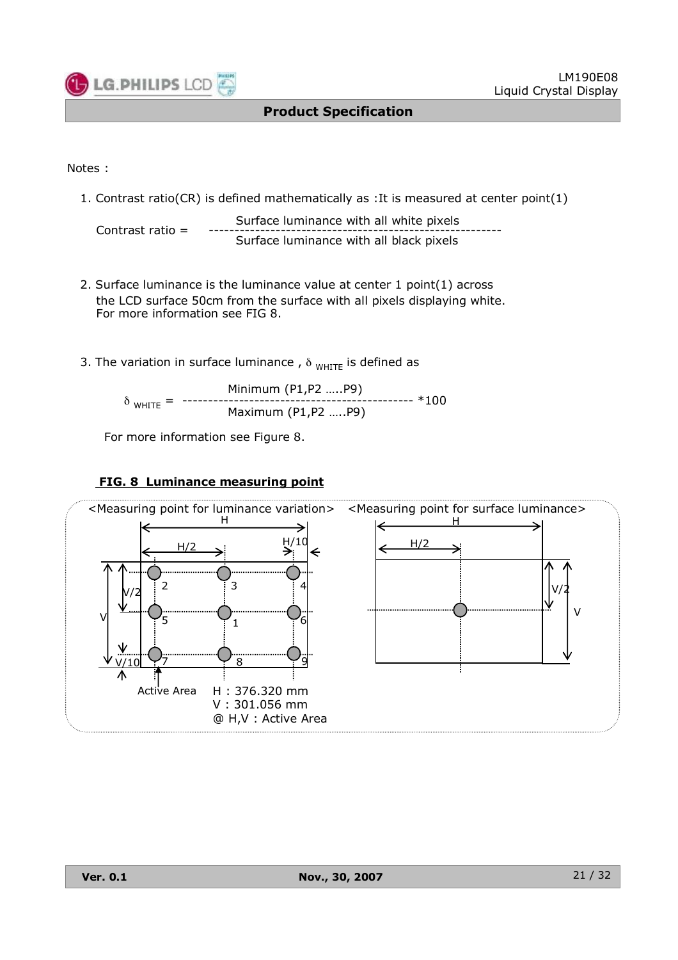![](_page_20_Picture_0.jpeg)

#### Notes :

1. Contrast ratio(CR) is defined mathematically as :It is measured at center point(1)

```
Surface luminance with all white pixels
Contrast ratio = --------------------------------------------------------- Surface luminance with all black pixels
```
- 2. Surface luminance is the luminance value at center 1 point(1) across the LCD surface 50cm from the surface with all pixels displaying white. For more information see FIG 8.
- 3. The variation in surface luminance,  $\delta_{WHITE}$  is defined as

$$
\delta_{\text{WHITE}} = \begin{array}{r} \text{Minimum (P1,P2 .....P9)} \\ \text{Haximum (P1,P2 .....P9)} \end{array} \star 100
$$

For more information see Figure 8.

#### **FIG. 8 Luminance measuring point**

![](_page_20_Figure_11.jpeg)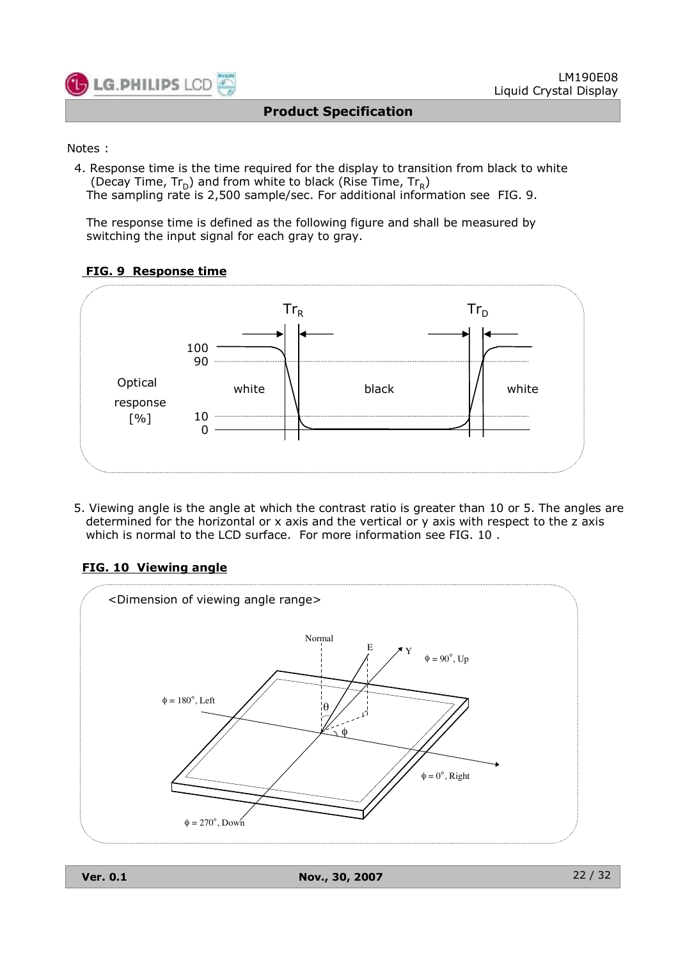![](_page_21_Picture_0.jpeg)

#### Notes :

4. Response time is the time required for the display to transition from black to white (Decay Time,  $Tr_D$ ) and from white to black (Rise Time,  $Tr_R$ ) The sampling rate is 2,500 sample/sec. For additional information see FIG. 9.

The response time is defined as the following figure and shall be measured by switching the input signal for each gray to gray.

#### **FIG. 9 Response time**

![](_page_21_Figure_7.jpeg)

5. Viewing angle is the angle at which the contrast ratio is greater than 10 or 5. The angles are determined for the horizontal or x axis and the vertical or y axis with respect to the z axis which is normal to the LCD surface. For more information see FIG. 10 .

#### **FIG. 10 Viewing angle**

![](_page_21_Figure_10.jpeg)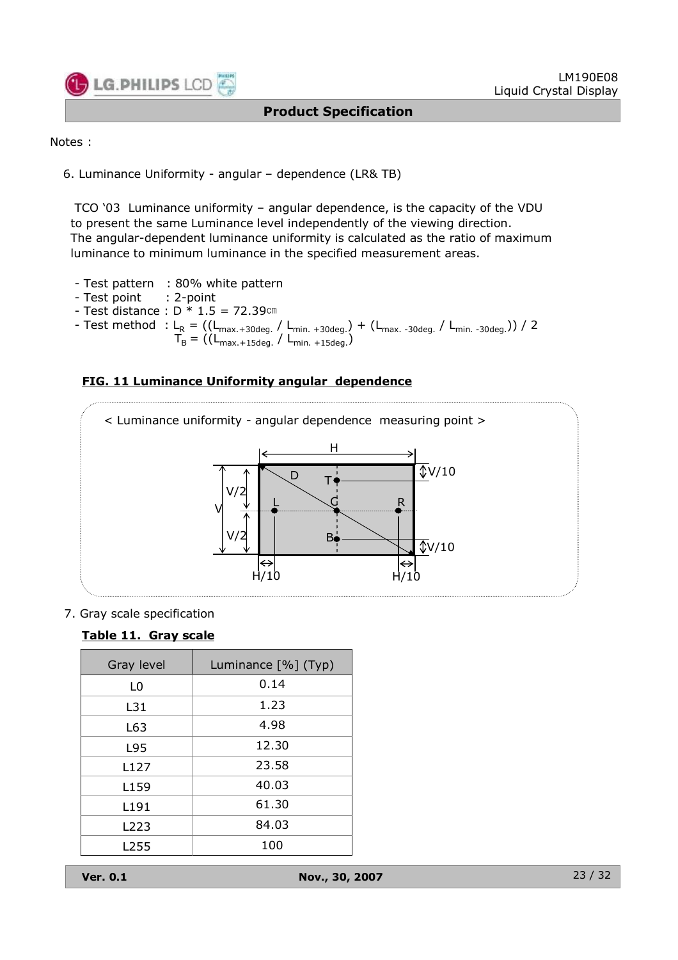![](_page_22_Picture_0.jpeg)

Notes :

6. Luminance Uniformity - angular – dependence (LR& TB)

TCO '03 Luminance uniformity – angular dependence, is the capacity of the VDU to present the same Luminance level independently of the viewing direction. The angular-dependent luminance uniformity is calculated as the ratio of maximum luminance to minimum luminance in the specified measurement areas.

- Test pattern : 80% white pattern
- Test point : 2-point
- $-$  Test distance :  $D * 1.5 = 72.39$ cm
- Test method : L<sub>R</sub> = ((L<sub>max.+30deg.</sub> / L<sub>min. +30deg.</sub>) + (L<sub>max.-30deg.</sub> / L<sub>min.-30deg.</sub>)) / 2  $T_B = ((L_{\text{max.+15deg.}} / L_{\text{min. +15deg.}}))$

![](_page_22_Figure_10.jpeg)

![](_page_22_Figure_11.jpeg)

7. Gray scale specification

#### **Table 11. Gray scale**

| Gray level       | Luminance [%] (Typ) |
|------------------|---------------------|
| L0               | 0.14                |
| L31              | 1.23                |
| L63              | 4.98                |
| L95              | 12.30               |
| L127             | 23.58               |
| L159             | 40.03               |
| L191             | 61.30               |
| L <sub>223</sub> | 84.03               |
| L255             | 100                 |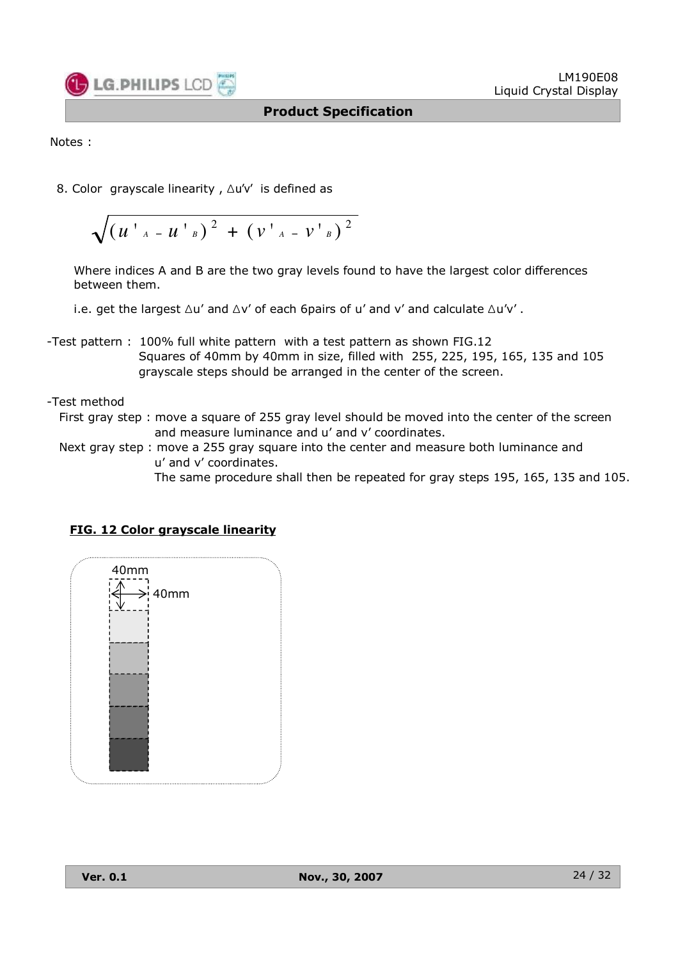![](_page_23_Picture_0.jpeg)

Notes :

8. Color grayscale linearity , Δu'v' is defined as

$$
\sqrt{\left(u^{\top}{}_{A}-u^{\top}{}_{B}\right)^{2}+\left(v^{\top}{}_{A}-v^{\top}{}_{B}\right)^{2}}
$$

Where indices A and B are the two gray levels found to have the largest color differences between them.

i.e. get the largest  $\Delta u'$  and  $\Delta v'$  of each 6pairs of u' and v' and calculate  $\Delta u'v'$ .

- -Test pattern : 100% full white pattern with a test pattern as shown FIG.12 Squares of 40mm by 40mm in size, filled with 255, 225, 195, 165, 135 and 105 grayscale steps should be arranged in the center of the screen.
- -Test method
	- First gray step : move a square of 255 gray level should be moved into the center of the screen and measure luminance and u' and v' coordinates.
	- Next gray step : move a 255 gray square into the center and measure both luminance and u' and v' coordinates.
		- The same procedure shall then be repeated for gray steps 195, 165, 135 and 105.

| 40mm<br>$\bar{\mathbb{A}}$<br>$\rightarrow$ 40mm |  |
|--------------------------------------------------|--|
|                                                  |  |
|                                                  |  |

#### **FIG. 12 Color grayscale linearity**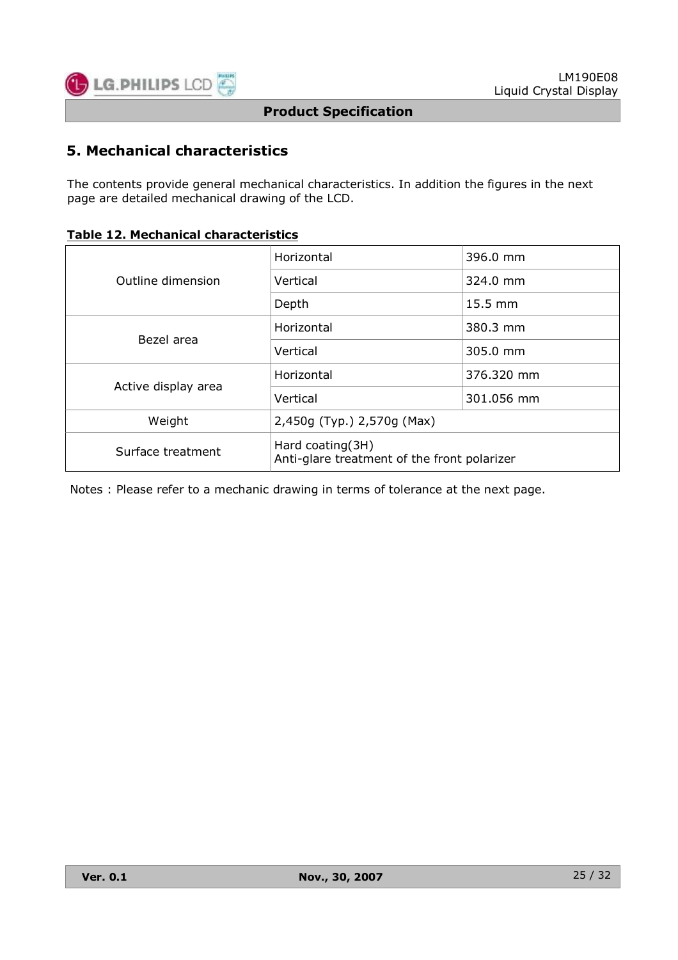![](_page_24_Picture_0.jpeg)

## **5. Mechanical characteristics**

The contents provide general mechanical characteristics. In addition the figures in the next page are detailed mechanical drawing of the LCD.

|  |  |  | <b>Table 12. Mechanical characteristics</b> |
|--|--|--|---------------------------------------------|
|--|--|--|---------------------------------------------|

|                     | Horizontal                                                      | 396.0 mm            |  |  |  |
|---------------------|-----------------------------------------------------------------|---------------------|--|--|--|
| Outline dimension   | Vertical                                                        | $324.0 \text{ mm}$  |  |  |  |
|                     | Depth                                                           | $15.5 \, \text{mm}$ |  |  |  |
| Bezel area          | Horizontal                                                      | 380.3 mm            |  |  |  |
|                     | Vertical                                                        | 305.0 mm            |  |  |  |
| Active display area | Horizontal                                                      | 376.320 mm          |  |  |  |
|                     | Vertical                                                        | 301.056 mm          |  |  |  |
| Weight              | 2,450g (Typ.) 2,570g (Max)                                      |                     |  |  |  |
| Surface treatment   | Hard coating(3H)<br>Anti-glare treatment of the front polarizer |                     |  |  |  |

Notes : Please refer to a mechanic drawing in terms of tolerance at the next page.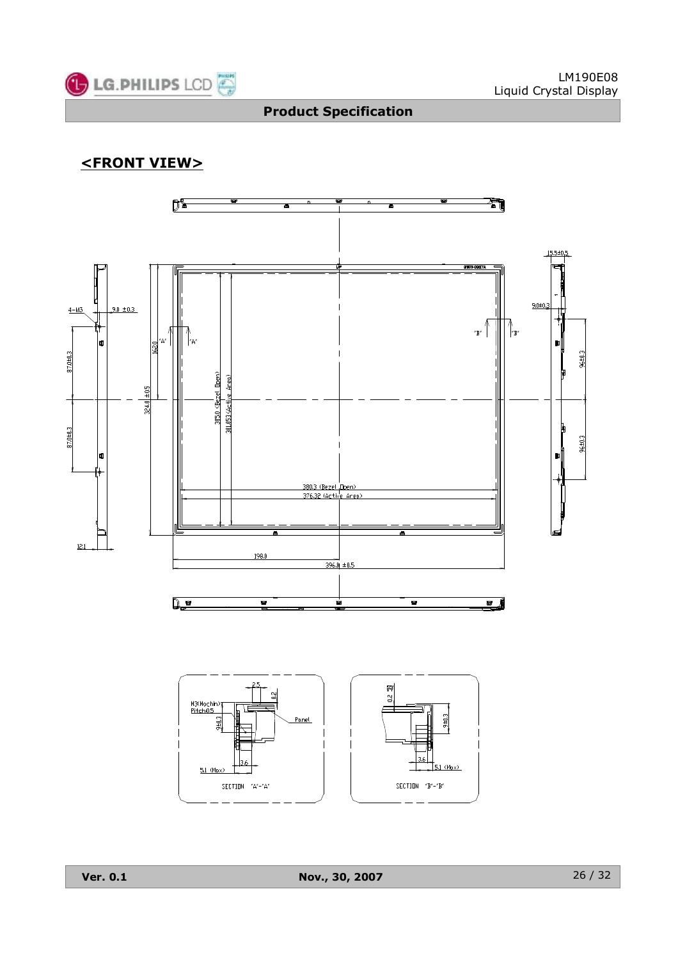![](_page_25_Picture_0.jpeg)

## **<FRONT VIEW>**

![](_page_25_Figure_4.jpeg)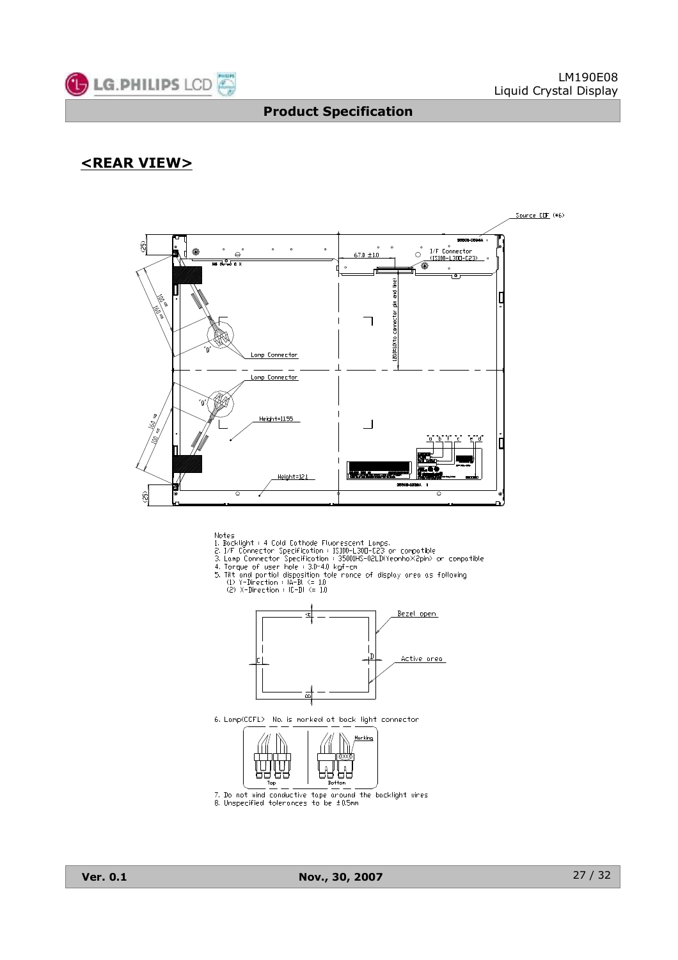![](_page_26_Picture_0.jpeg)

## **<REAR VIEW>**

![](_page_26_Figure_4.jpeg)

- 
- 
- -
	- -

![](_page_26_Figure_11.jpeg)

6. Lamp(CCFL) No. is marked at back light connector

![](_page_26_Figure_13.jpeg)

7. Do not wind conductive tape  $a$  cound the backlight wires<br>8. Unspecified tolerances to be  $\pm$  0.5mm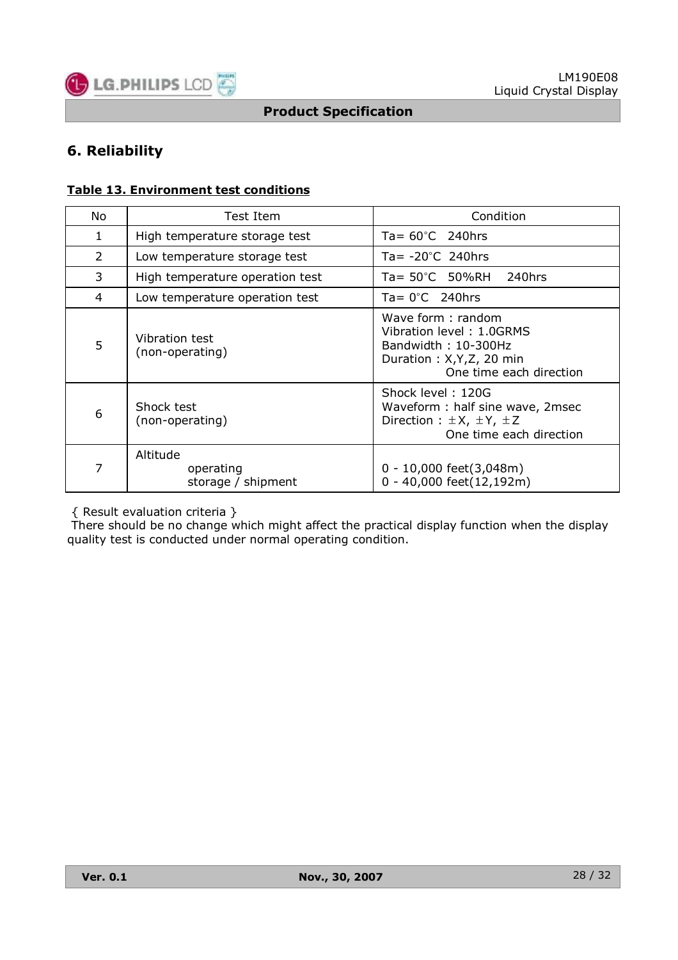![](_page_27_Picture_0.jpeg)

## **6. Reliability**

#### **Table 13. Environment test conditions**

| No | Test Item                                   | Condition                                                                                                                    |  |  |  |  |  |
|----|---------------------------------------------|------------------------------------------------------------------------------------------------------------------------------|--|--|--|--|--|
| 1  | High temperature storage test               | Ta= $60^{\circ}$ C 240hrs                                                                                                    |  |  |  |  |  |
| 2  | Low temperature storage test                | Ta= $-20^{\circ}$ C 240hrs                                                                                                   |  |  |  |  |  |
| 3  | High temperature operation test             | Ta= 50°C 50%RH 240hrs                                                                                                        |  |  |  |  |  |
| 4  | Low temperature operation test              | $Ta = 0^{\circ}C$ 240hrs                                                                                                     |  |  |  |  |  |
| 5  | Vibration test<br>(non-operating)           | Wave form: random<br>Vibration level: 1.0GRMS<br>Bandwidth: 10-300Hz<br>Duration: X, Y, Z, 20 min<br>One time each direction |  |  |  |  |  |
| 6  | Shock test<br>(non-operating)               | Shock level: 120G<br>Waveform: half sine wave, 2msec<br>Direction : $\pm X$ , $\pm Y$ , $\pm Z$<br>One time each direction   |  |  |  |  |  |
| 7  | Altitude<br>operating<br>storage / shipment | $0 - 10,000$ feet $(3,048$ m)<br>0 - 40,000 feet(12,192m)                                                                    |  |  |  |  |  |

{ Result evaluation criteria }

There should be no change which might affect the practical display function when the display quality test is conducted under normal operating condition.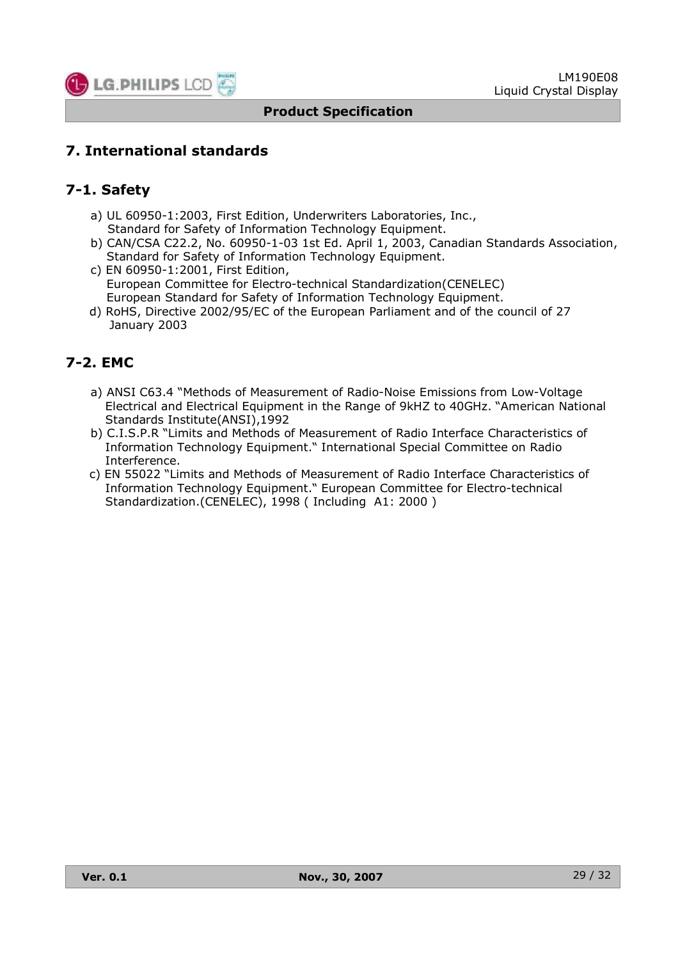![](_page_28_Picture_0.jpeg)

## **7. International standards**

## **7-1. Safety**

- a) UL 60950-1:2003, First Edition, Underwriters Laboratories, Inc., Standard for Safety of Information Technology Equipment.
- b) CAN/CSA C22.2, No. 60950-1-03 1st Ed. April 1, 2003, Canadian Standards Association, Standard for Safety of Information Technology Equipment.
- c) EN 60950-1:2001, First Edition, European Committee for Electro-technical Standardization(CENELEC) European Standard for Safety of Information Technology Equipment.
- d) RoHS, Directive 2002/95/EC of the European Parliament and of the council of 27 January 2003

## **7-2. EMC**

- a) ANSI C63.4 "Methods of Measurement of Radio-Noise Emissions from Low-Voltage Electrical and Electrical Equipment in the Range of 9kHZ to 40GHz. "American National Standards Institute(ANSI),1992
- b) C.I.S.P.R "Limits and Methods of Measurement of Radio Interface Characteristics of Information Technology Equipment." International Special Committee on Radio Interference.
- c) EN 55022 "Limits and Methods of Measurement of Radio Interface Characteristics of Information Technology Equipment." European Committee for Electro-technical Standardization.(CENELEC), 1998 ( Including A1: 2000 )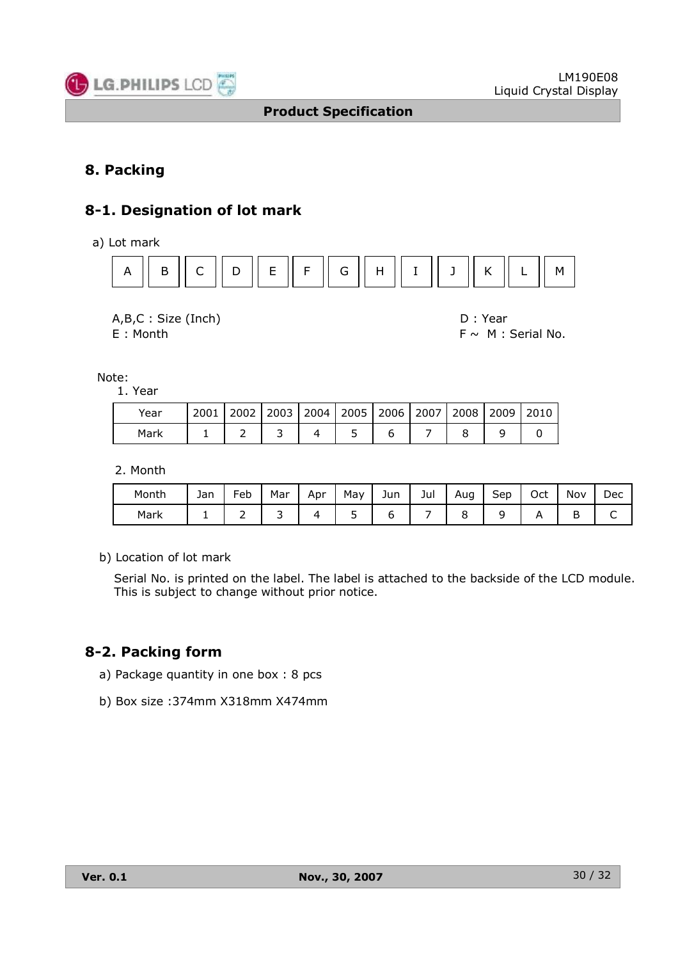![](_page_29_Picture_0.jpeg)

## **8. Packing**

## **8-1. Designation of lot mark**

a) Lot mark

![](_page_29_Figure_6.jpeg)

![](_page_29_Figure_7.jpeg)

 $E : \text{Month}$   $E : \text{Month}$   $E : \text{Month}$   $E : \text{ಚ.}$   $E : \text{Final No.}$ 

Note:

1. Year

| Year |  |  |  |  | 2001   2002   2003   2004   2005   2006   2007   2008   2009   2010 |
|------|--|--|--|--|---------------------------------------------------------------------|
| Mark |  |  |  |  |                                                                     |

2. Month

| Month | Jan | Feb | Mar | Apr | May | Jun | Jul | Aug<br>ັ | Sep | Oct | Nov | Dec |
|-------|-----|-----|-----|-----|-----|-----|-----|----------|-----|-----|-----|-----|
| Mark  |     | -   |     |     | ー   |     |     |          | ∽   |     | ◡   | ◡   |

b) Location of lot mark

Serial No. is printed on the label. The label is attached to the backside of the LCD module. This is subject to change without prior notice.

## **8-2. Packing form**

- a) Package quantity in one box : 8 pcs
- b) Box size :374mm X318mm X474mm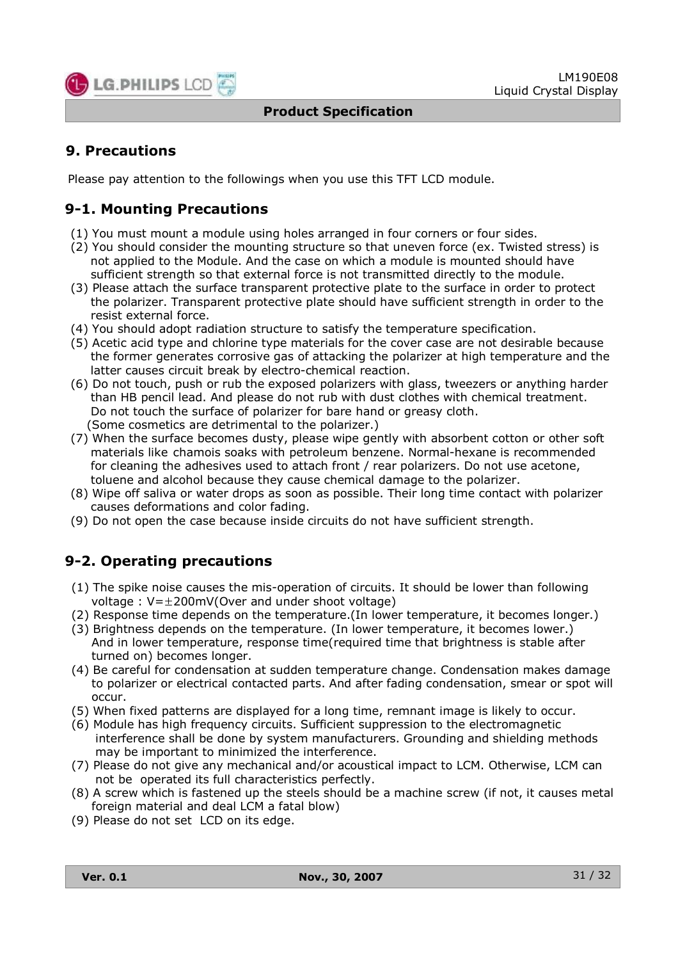![](_page_30_Picture_0.jpeg)

## **9. Precautions**

Please pay attention to the followings when you use this TFT LCD module.

## **9-1. Mounting Precautions**

- (1) You must mount a module using holes arranged in four corners or four sides.
- (2) You should consider the mounting structure so that uneven force (ex. Twisted stress) is not applied to the Module. And the case on which a module is mounted should have sufficient strength so that external force is not transmitted directly to the module.
- (3) Please attach the surface transparent protective plate to the surface in order to protect the polarizer. Transparent protective plate should have sufficient strength in order to the resist external force.
- (4) You should adopt radiation structure to satisfy the temperature specification.
- (5) Acetic acid type and chlorine type materials for the cover case are not desirable because the former generates corrosive gas of attacking the polarizer at high temperature and the latter causes circuit break by electro-chemical reaction.
- (6) Do not touch, push or rub the exposed polarizers with glass, tweezers or anything harder than HB pencil lead. And please do not rub with dust clothes with chemical treatment. Do not touch the surface of polarizer for bare hand or greasy cloth. (Some cosmetics are detrimental to the polarizer.)
- (7) When the surface becomes dusty, please wipe gently with absorbent cotton or other soft materials like chamois soaks with petroleum benzene. Normal-hexane is recommended for cleaning the adhesives used to attach front / rear polarizers. Do not use acetone, toluene and alcohol because they cause chemical damage to the polarizer.
- (8) Wipe off saliva or water drops as soon as possible. Their long time contact with polarizer causes deformations and color fading.
- (9) Do not open the case because inside circuits do not have sufficient strength.

## **9-2. Operating precautions**

- (1) The spike noise causes the mis-operation of circuits. It should be lower than following voltage :  $V=\pm 200$ mV(Over and under shoot voltage)
- (2) Response time depends on the temperature.(In lower temperature, it becomes longer.)
- (3) Brightness depends on the temperature. (In lower temperature, it becomes lower.) And in lower temperature, response time(required time that brightness is stable after turned on) becomes longer.
- (4) Be careful for condensation at sudden temperature change. Condensation makes damage to polarizer or electrical contacted parts. And after fading condensation, smear or spot will occur.
- (5) When fixed patterns are displayed for a long time, remnant image is likely to occur.
- (6) Module has high frequency circuits. Sufficient suppression to the electromagnetic interference shall be done by system manufacturers. Grounding and shielding methods may be important to minimized the interference.
- (7) Please do not give any mechanical and/or acoustical impact to LCM. Otherwise, LCM can not be operated its full characteristics perfectly.
- (8) A screw which is fastened up the steels should be a machine screw (if not, it causes metal foreign material and deal LCM a fatal blow)
- (9) Please do not set LCD on its edge.